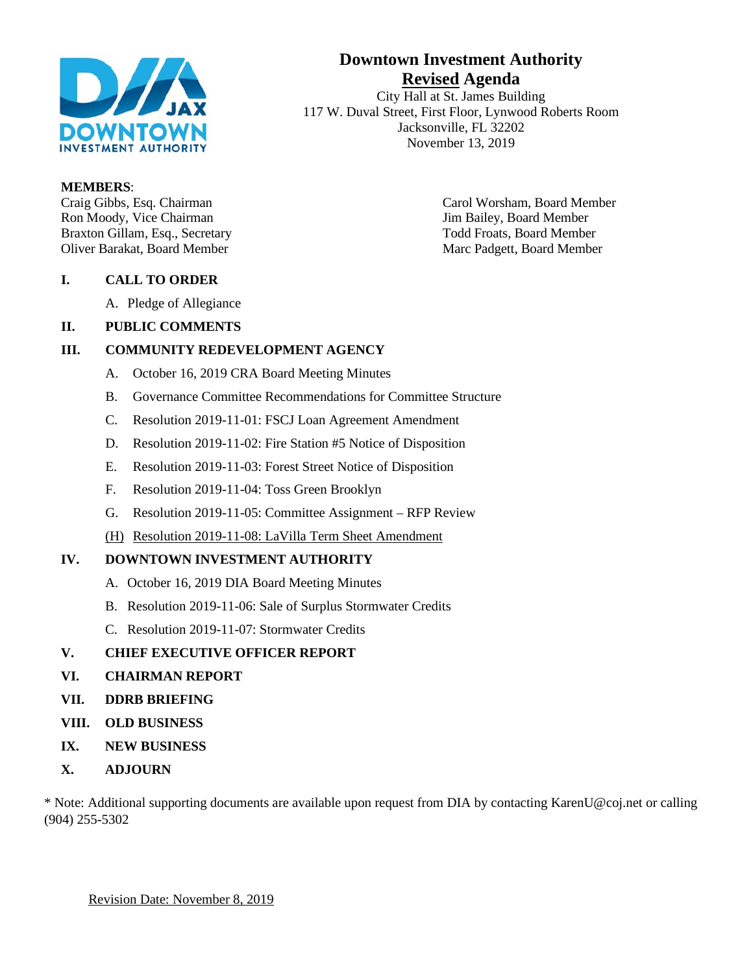

# **Downtown Investment Authority Revised Agenda**

City Hall at St. James Building 117 W. Duval Street, First Floor, Lynwood Roberts Room Jacksonville, FL 32202 November 13, 2019

#### **MEMBERS**:

Ron Moody, Vice Chairman **Vice Access** 2012 11: Jim Bailey, Board Member Braxton Gillam, Esq., Secretary Todd Froats, Board Member Oliver Barakat, Board Member Marc Padgett, Board Member

Craig Gibbs, Esq. Chairman Carol Worsham, Board Member

### **I. CALL TO ORDER**

A. Pledge of Allegiance

### **II. PUBLIC COMMENTS**

### **III. COMMUNITY REDEVELOPMENT AGENCY**

- A. October 16, 2019 CRA Board Meeting Minutes
- B. Governance Committee Recommendations for Committee Structure
- C. Resolution 2019-11-01: FSCJ Loan Agreement Amendment
- D. Resolution 2019-11-02: Fire Station #5 Notice of Disposition
- E. Resolution 2019-11-03: Forest Street Notice of Disposition
- F. Resolution 2019-11-04: Toss Green Brooklyn
- G. Resolution 2019-11-05: Committee Assignment RFP Review
- (H) Resolution 2019-11-08: LaVilla Term Sheet Amendment

### **IV. DOWNTOWN INVESTMENT AUTHORITY**

- A. October 16, 2019 DIA Board Meeting Minutes
- B. Resolution 2019-11-06: Sale of Surplus Stormwater Credits
- C. Resolution 2019-11-07: Stormwater Credits

### **V. CHIEF EXECUTIVE OFFICER REPORT**

- **VI. CHAIRMAN REPORT**
- **VII. DDRB BRIEFING**
- **VIII. OLD BUSINESS**
- **IX. NEW BUSINESS**
- **X. ADJOURN**

\* Note: Additional supporting documents are available upon request from DIA by contacting KarenU@coj.net or calling (904) 255-5302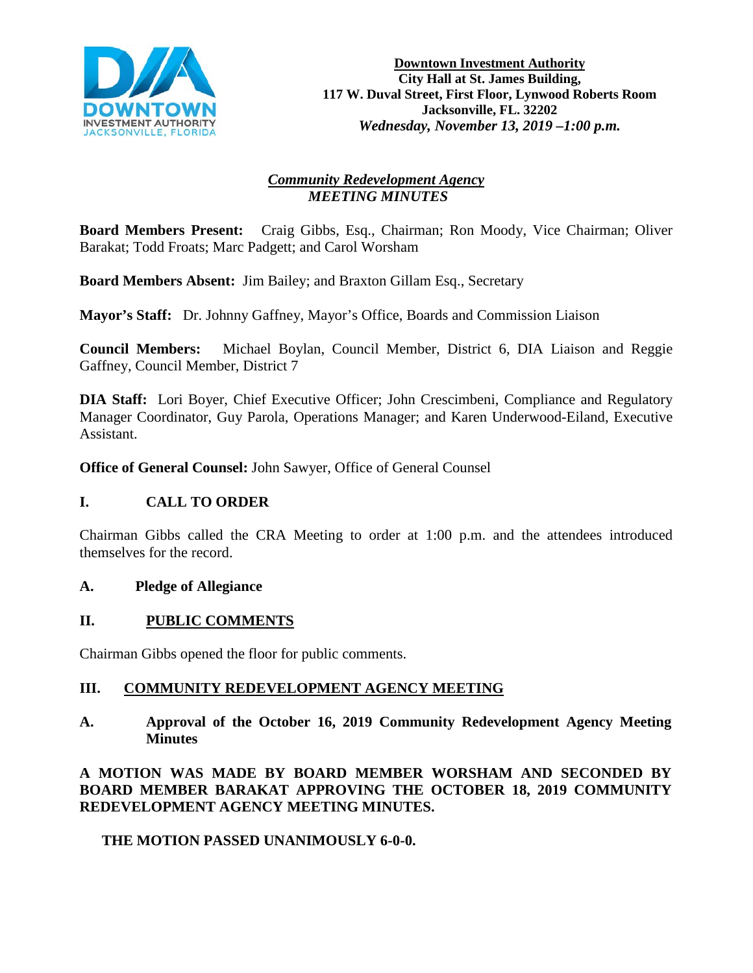

# *Community Redevelopment Agency MEETING MINUTES*

**Board Members Present:** Craig Gibbs, Esq., Chairman; Ron Moody, Vice Chairman; Oliver Barakat; Todd Froats; Marc Padgett; and Carol Worsham

**Board Members Absent:** Jim Bailey; and Braxton Gillam Esq., Secretary

**Mayor's Staff:** Dr. Johnny Gaffney, Mayor's Office, Boards and Commission Liaison

**Council Members:** Michael Boylan, Council Member, District 6, DIA Liaison and Reggie Gaffney, Council Member, District 7

**DIA Staff:** Lori Boyer, Chief Executive Officer; John Crescimbeni, Compliance and Regulatory Manager Coordinator, Guy Parola, Operations Manager; and Karen Underwood-Eiland, Executive Assistant.

**Office of General Counsel:** John Sawyer, Office of General Counsel

# **I. CALL TO ORDER**

Chairman Gibbs called the CRA Meeting to order at 1:00 p.m. and the attendees introduced themselves for the record.

# **A. Pledge of Allegiance**

# **II. PUBLIC COMMENTS**

Chairman Gibbs opened the floor for public comments.

# **III. COMMUNITY REDEVELOPMENT AGENCY MEETING**

**A. Approval of the October 16, 2019 Community Redevelopment Agency Meeting Minutes** 

**A MOTION WAS MADE BY BOARD MEMBER WORSHAM AND SECONDED BY BOARD MEMBER BARAKAT APPROVING THE OCTOBER 18, 2019 COMMUNITY REDEVELOPMENT AGENCY MEETING MINUTES.**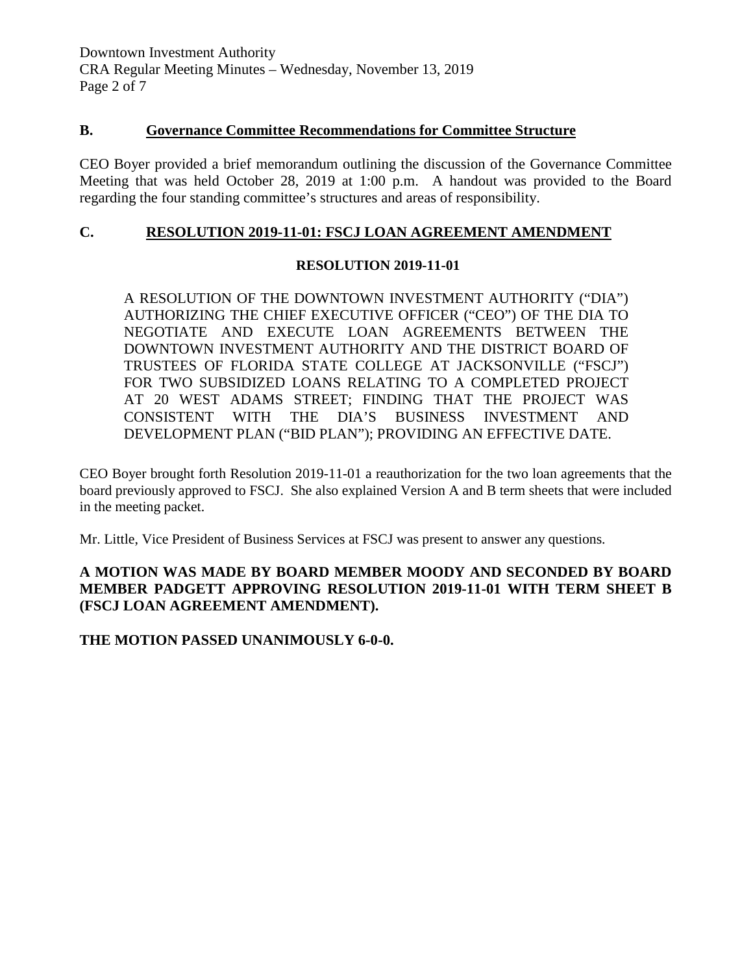Downtown Investment Authority CRA Regular Meeting Minutes – Wednesday, November 13, 2019 Page 2 of 7

### **B. Governance Committee Recommendations for Committee Structure**

CEO Boyer provided a brief memorandum outlining the discussion of the Governance Committee Meeting that was held October 28, 2019 at 1:00 p.m. A handout was provided to the Board regarding the four standing committee's structures and areas of responsibility.

### **C. RESOLUTION 2019-11-01: FSCJ LOAN AGREEMENT AMENDMENT**

#### **RESOLUTION 2019-11-01**

A RESOLUTION OF THE DOWNTOWN INVESTMENT AUTHORITY ("DIA") AUTHORIZING THE CHIEF EXECUTIVE OFFICER ("CEO") OF THE DIA TO NEGOTIATE AND EXECUTE LOAN AGREEMENTS BETWEEN THE DOWNTOWN INVESTMENT AUTHORITY AND THE DISTRICT BOARD OF TRUSTEES OF FLORIDA STATE COLLEGE AT JACKSONVILLE ("FSCJ") FOR TWO SUBSIDIZED LOANS RELATING TO A COMPLETED PROJECT AT 20 WEST ADAMS STREET; FINDING THAT THE PROJECT WAS CONSISTENT WITH THE DIA'S BUSINESS INVESTMENT AND DEVELOPMENT PLAN ("BID PLAN"); PROVIDING AN EFFECTIVE DATE.

CEO Boyer brought forth Resolution 2019-11-01 a reauthorization for the two loan agreements that the board previously approved to FSCJ. She also explained Version A and B term sheets that were included in the meeting packet.

Mr. Little, Vice President of Business Services at FSCJ was present to answer any questions.

### **A MOTION WAS MADE BY BOARD MEMBER MOODY AND SECONDED BY BOARD MEMBER PADGETT APPROVING RESOLUTION 2019-11-01 WITH TERM SHEET B (FSCJ LOAN AGREEMENT AMENDMENT).**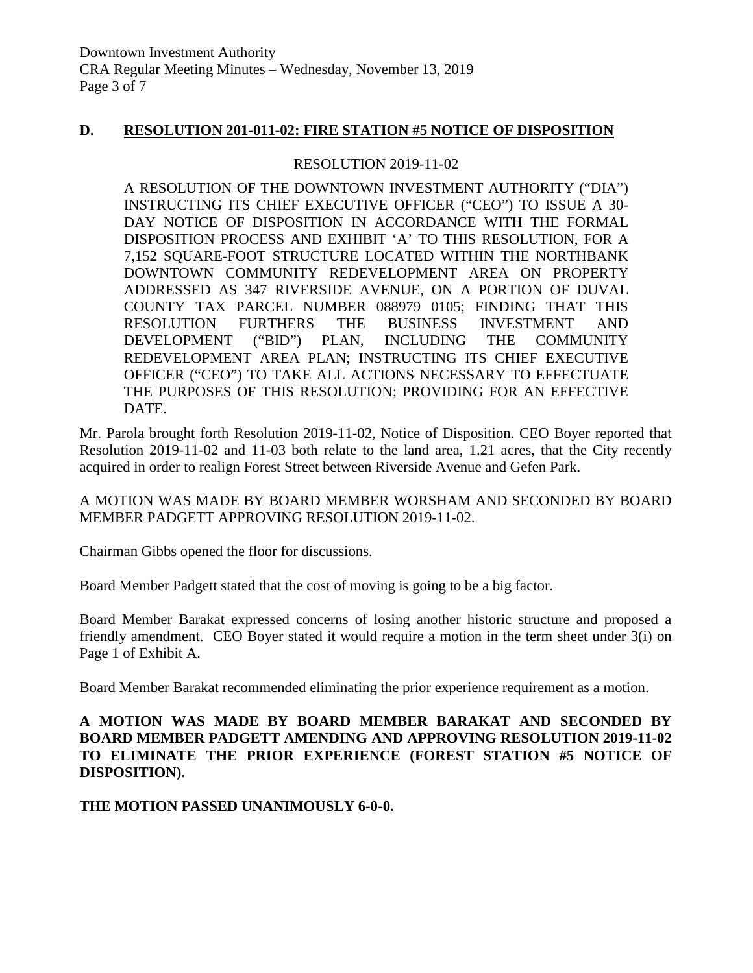### **D. RESOLUTION 201-011-02: FIRE STATION #5 NOTICE OF DISPOSITION**

### RESOLUTION 2019-11-02

A RESOLUTION OF THE DOWNTOWN INVESTMENT AUTHORITY ("DIA") INSTRUCTING ITS CHIEF EXECUTIVE OFFICER ("CEO") TO ISSUE A 30- DAY NOTICE OF DISPOSITION IN ACCORDANCE WITH THE FORMAL DISPOSITION PROCESS AND EXHIBIT 'A' TO THIS RESOLUTION, FOR A 7,152 SQUARE-FOOT STRUCTURE LOCATED WITHIN THE NORTHBANK DOWNTOWN COMMUNITY REDEVELOPMENT AREA ON PROPERTY ADDRESSED AS 347 RIVERSIDE AVENUE, ON A PORTION OF DUVAL COUNTY TAX PARCEL NUMBER 088979 0105; FINDING THAT THIS RESOLUTION FURTHERS THE BUSINESS INVESTMENT AND DEVELOPMENT ("BID") PLAN, INCLUDING THE COMMUNITY REDEVELOPMENT AREA PLAN; INSTRUCTING ITS CHIEF EXECUTIVE OFFICER ("CEO") TO TAKE ALL ACTIONS NECESSARY TO EFFECTUATE THE PURPOSES OF THIS RESOLUTION; PROVIDING FOR AN EFFECTIVE DATE.

Mr. Parola brought forth Resolution 2019-11-02, Notice of Disposition. CEO Boyer reported that Resolution 2019-11-02 and 11-03 both relate to the land area, 1.21 acres, that the City recently acquired in order to realign Forest Street between Riverside Avenue and Gefen Park.

A MOTION WAS MADE BY BOARD MEMBER WORSHAM AND SECONDED BY BOARD MEMBER PADGETT APPROVING RESOLUTION 2019-11-02.

Chairman Gibbs opened the floor for discussions.

Board Member Padgett stated that the cost of moving is going to be a big factor.

Board Member Barakat expressed concerns of losing another historic structure and proposed a friendly amendment. CEO Boyer stated it would require a motion in the term sheet under 3(i) on Page 1 of Exhibit A.

Board Member Barakat recommended eliminating the prior experience requirement as a motion.

# **A MOTION WAS MADE BY BOARD MEMBER BARAKAT AND SECONDED BY BOARD MEMBER PADGETT AMENDING AND APPROVING RESOLUTION 2019-11-02 TO ELIMINATE THE PRIOR EXPERIENCE (FOREST STATION #5 NOTICE OF DISPOSITION).**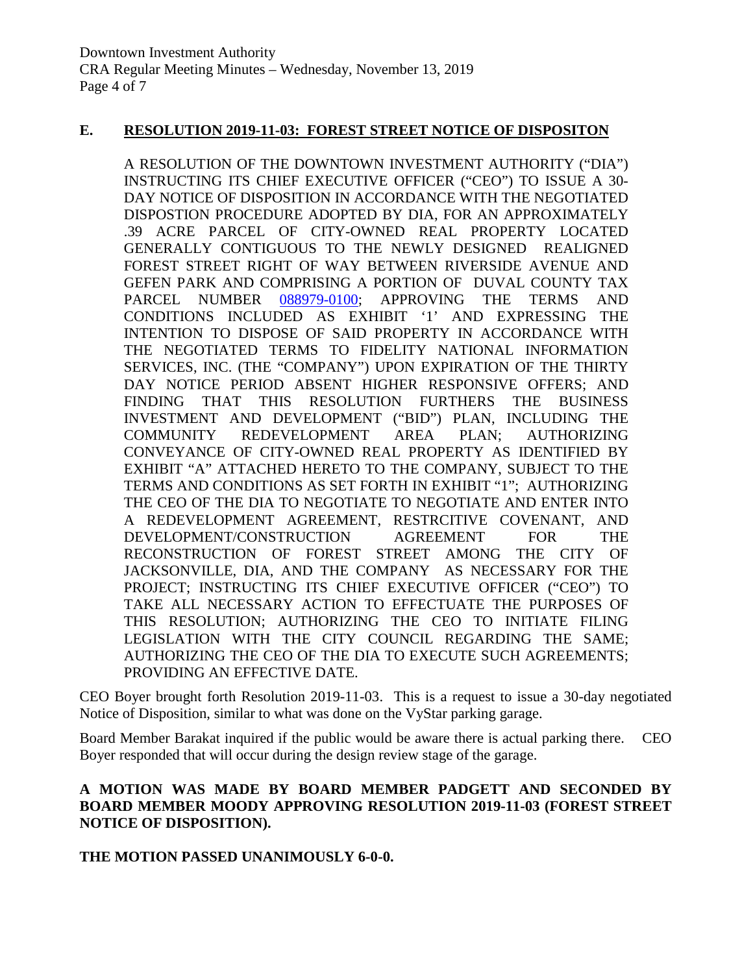### **E. RESOLUTION 2019-11-03: FOREST STREET NOTICE OF DISPOSITON**

A RESOLUTION OF THE DOWNTOWN INVESTMENT AUTHORITY ("DIA") INSTRUCTING ITS CHIEF EXECUTIVE OFFICER ("CEO") TO ISSUE A 30- DAY NOTICE OF DISPOSITION IN ACCORDANCE WITH THE NEGOTIATED DISPOSTION PROCEDURE ADOPTED BY DIA, FOR AN APPROXIMATELY .39 ACRE PARCEL OF CITY-OWNED REAL PROPERTY LOCATED GENERALLY CONTIGUOUS TO THE NEWLY DESIGNED REALIGNED FOREST STREET RIGHT OF WAY BETWEEN RIVERSIDE AVENUE AND GEFEN PARK AND COMPRISING A PORTION OF DUVAL COUNTY TAX PARCEL NUMBER [088979-0100;](https://paopropertysearch.coj.net/Basic/Detail.aspx?RE=0889790100) APPROVING THE TERMS AND CONDITIONS INCLUDED AS EXHIBIT '1' AND EXPRESSING THE INTENTION TO DISPOSE OF SAID PROPERTY IN ACCORDANCE WITH THE NEGOTIATED TERMS TO FIDELITY NATIONAL INFORMATION SERVICES, INC. (THE "COMPANY") UPON EXPIRATION OF THE THIRTY DAY NOTICE PERIOD ABSENT HIGHER RESPONSIVE OFFERS; AND FINDING THAT THIS RESOLUTION FURTHERS THE BUSINESS INVESTMENT AND DEVELOPMENT ("BID") PLAN, INCLUDING THE COMMUNITY REDEVELOPMENT AREA PLAN; AUTHORIZING CONVEYANCE OF CITY-OWNED REAL PROPERTY AS IDENTIFIED BY EXHIBIT "A" ATTACHED HERETO TO THE COMPANY, SUBJECT TO THE TERMS AND CONDITIONS AS SET FORTH IN EXHIBIT "1"; AUTHORIZING THE CEO OF THE DIA TO NEGOTIATE TO NEGOTIATE AND ENTER INTO A REDEVELOPMENT AGREEMENT, RESTRCITIVE COVENANT, AND DEVELOPMENT/CONSTRUCTION AGREEMENT FOR THE RECONSTRUCTION OF FOREST STREET AMONG THE CITY OF JACKSONVILLE, DIA, AND THE COMPANY AS NECESSARY FOR THE PROJECT; INSTRUCTING ITS CHIEF EXECUTIVE OFFICER ("CEO") TO TAKE ALL NECESSARY ACTION TO EFFECTUATE THE PURPOSES OF THIS RESOLUTION; AUTHORIZING THE CEO TO INITIATE FILING LEGISLATION WITH THE CITY COUNCIL REGARDING THE SAME; AUTHORIZING THE CEO OF THE DIA TO EXECUTE SUCH AGREEMENTS; PROVIDING AN EFFECTIVE DATE.

CEO Boyer brought forth Resolution 2019-11-03. This is a request to issue a 30-day negotiated Notice of Disposition, similar to what was done on the VyStar parking garage.

Board Member Barakat inquired if the public would be aware there is actual parking there. CEO Boyer responded that will occur during the design review stage of the garage.

### **A MOTION WAS MADE BY BOARD MEMBER PADGETT AND SECONDED BY BOARD MEMBER MOODY APPROVING RESOLUTION 2019-11-03 (FOREST STREET NOTICE OF DISPOSITION).**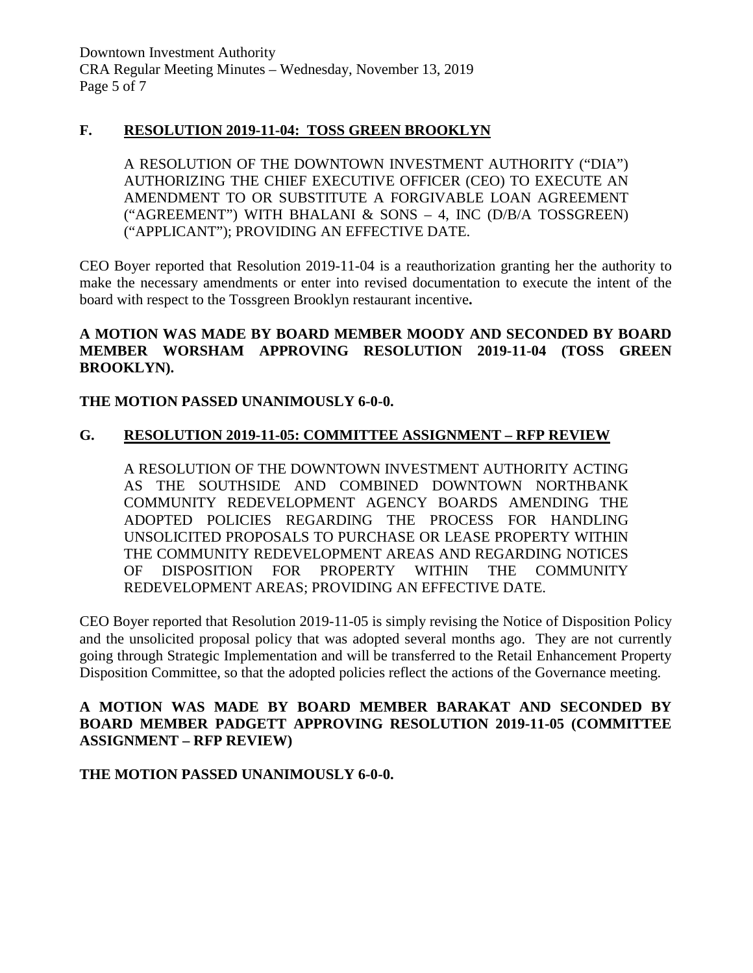### **F. RESOLUTION 2019-11-04: TOSS GREEN BROOKLYN**

A RESOLUTION OF THE DOWNTOWN INVESTMENT AUTHORITY ("DIA") AUTHORIZING THE CHIEF EXECUTIVE OFFICER (CEO) TO EXECUTE AN AMENDMENT TO OR SUBSTITUTE A FORGIVABLE LOAN AGREEMENT ("AGREEMENT") WITH BHALANI & SONS – 4, INC (D/B/A TOSSGREEN) ("APPLICANT"); PROVIDING AN EFFECTIVE DATE.

CEO Boyer reported that Resolution 2019-11-04 is a reauthorization granting her the authority to make the necessary amendments or enter into revised documentation to execute the intent of the board with respect to the Tossgreen Brooklyn restaurant incentive**.** 

### **A MOTION WAS MADE BY BOARD MEMBER MOODY AND SECONDED BY BOARD MEMBER WORSHAM APPROVING RESOLUTION 2019-11-04 (TOSS GREEN BROOKLYN).**

# **THE MOTION PASSED UNANIMOUSLY 6-0-0.**

### **G. RESOLUTION 2019-11-05: COMMITTEE ASSIGNMENT – RFP REVIEW**

A RESOLUTION OF THE DOWNTOWN INVESTMENT AUTHORITY ACTING AS THE SOUTHSIDE AND COMBINED DOWNTOWN NORTHBANK COMMUNITY REDEVELOPMENT AGENCY BOARDS AMENDING THE ADOPTED POLICIES REGARDING THE PROCESS FOR HANDLING UNSOLICITED PROPOSALS TO PURCHASE OR LEASE PROPERTY WITHIN THE COMMUNITY REDEVELOPMENT AREAS AND REGARDING NOTICES OF DISPOSITION FOR PROPERTY WITHIN THE COMMUNITY REDEVELOPMENT AREAS; PROVIDING AN EFFECTIVE DATE.

CEO Boyer reported that Resolution 2019-11-05 is simply revising the Notice of Disposition Policy and the unsolicited proposal policy that was adopted several months ago. They are not currently going through Strategic Implementation and will be transferred to the Retail Enhancement Property Disposition Committee, so that the adopted policies reflect the actions of the Governance meeting.

### **A MOTION WAS MADE BY BOARD MEMBER BARAKAT AND SECONDED BY BOARD MEMBER PADGETT APPROVING RESOLUTION 2019-11-05 (COMMITTEE ASSIGNMENT – RFP REVIEW)**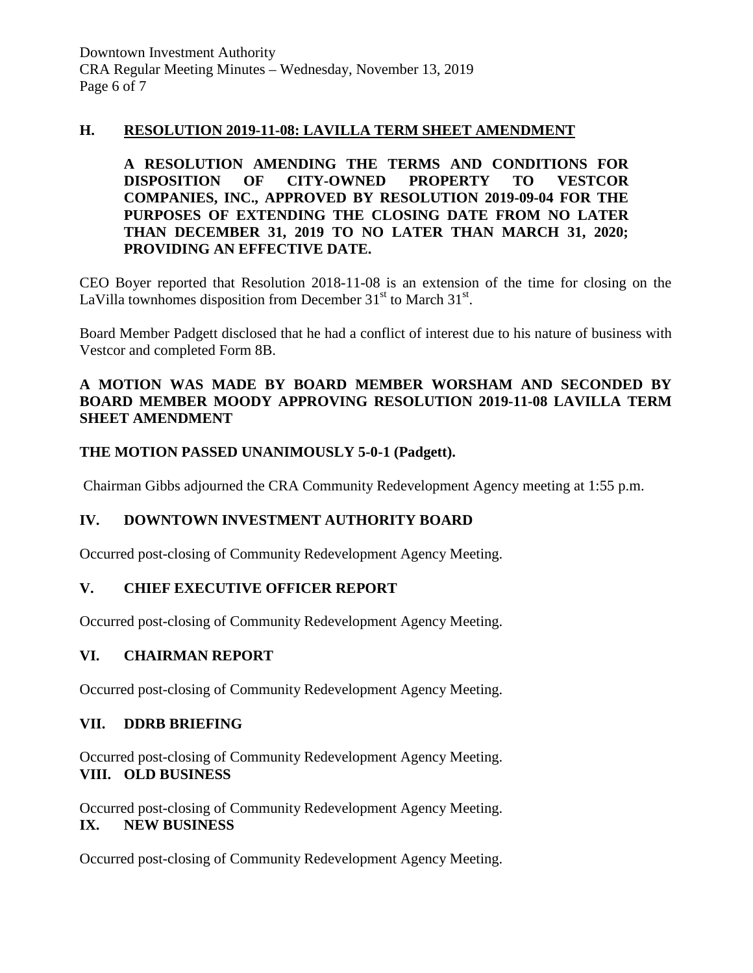### **H. RESOLUTION 2019-11-08: LAVILLA TERM SHEET AMENDMENT**

**A RESOLUTION AMENDING THE TERMS AND CONDITIONS FOR DISPOSITION OF CITY-OWNED PROPERTY TO VESTCOR COMPANIES, INC., APPROVED BY RESOLUTION 2019-09-04 FOR THE PURPOSES OF EXTENDING THE CLOSING DATE FROM NO LATER THAN DECEMBER 31, 2019 TO NO LATER THAN MARCH 31, 2020; PROVIDING AN EFFECTIVE DATE.**

CEO Boyer reported that Resolution 2018-11-08 is an extension of the time for closing on the LaVilla townhomes disposition from December  $31<sup>st</sup>$  to March  $31<sup>st</sup>$ .

Board Member Padgett disclosed that he had a conflict of interest due to his nature of business with Vestcor and completed Form 8B.

### **A MOTION WAS MADE BY BOARD MEMBER WORSHAM AND SECONDED BY BOARD MEMBER MOODY APPROVING RESOLUTION 2019-11-08 LAVILLA TERM SHEET AMENDMENT**

# **THE MOTION PASSED UNANIMOUSLY 5-0-1 (Padgett).**

Chairman Gibbs adjourned the CRA Community Redevelopment Agency meeting at 1:55 p.m.

# **IV. DOWNTOWN INVESTMENT AUTHORITY BOARD**

Occurred post-closing of Community Redevelopment Agency Meeting.

# **V. CHIEF EXECUTIVE OFFICER REPORT**

Occurred post-closing of Community Redevelopment Agency Meeting.

### **VI. CHAIRMAN REPORT**

Occurred post-closing of Community Redevelopment Agency Meeting.

# **VII. DDRB BRIEFING**

Occurred post-closing of Community Redevelopment Agency Meeting. **VIII. OLD BUSINESS**

Occurred post-closing of Community Redevelopment Agency Meeting. **IX. NEW BUSINESS** 

Occurred post-closing of Community Redevelopment Agency Meeting.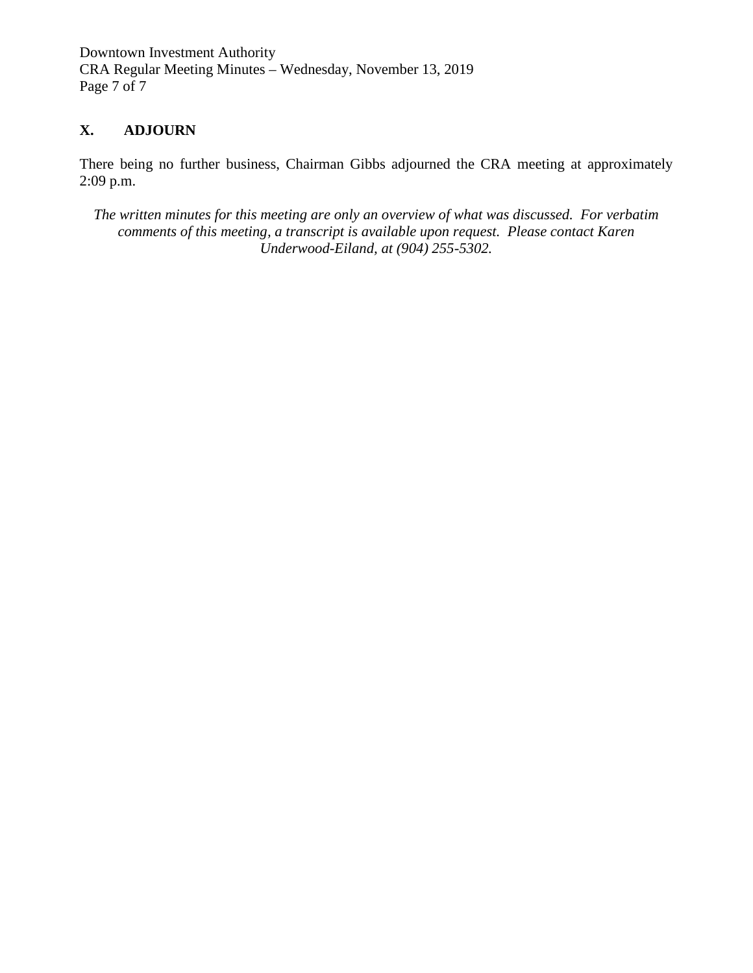Downtown Investment Authority CRA Regular Meeting Minutes – Wednesday, November 13, 2019 Page 7 of 7

# **X. ADJOURN**

There being no further business, Chairman Gibbs adjourned the CRA meeting at approximately 2:09 p.m.

*The written minutes for this meeting are only an overview of what was discussed. For verbatim comments of this meeting, a transcript is available upon request. Please contact Karen Underwood-Eiland, at (904) 255-5302.*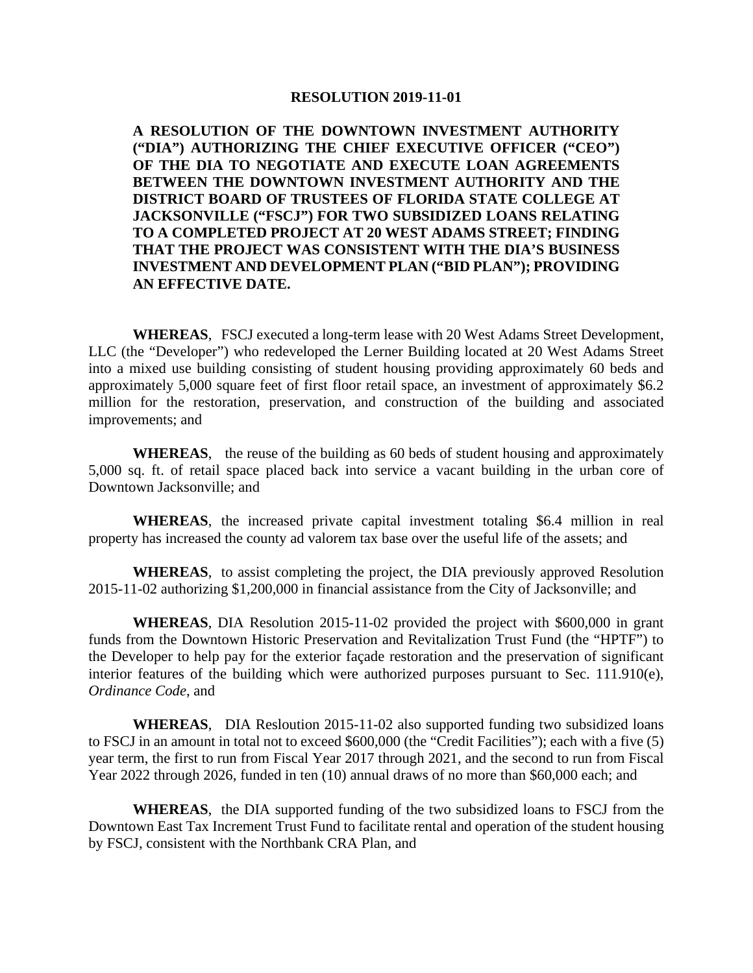#### **RESOLUTION 2019-11-01**

**A RESOLUTION OF THE DOWNTOWN INVESTMENT AUTHORITY ("DIA") AUTHORIZING THE CHIEF EXECUTIVE OFFICER ("CEO") OF THE DIA TO NEGOTIATE AND EXECUTE LOAN AGREEMENTS BETWEEN THE DOWNTOWN INVESTMENT AUTHORITY AND THE DISTRICT BOARD OF TRUSTEES OF FLORIDA STATE COLLEGE AT JACKSONVILLE ("FSCJ") FOR TWO SUBSIDIZED LOANS RELATING TO A COMPLETED PROJECT AT 20 WEST ADAMS STREET; FINDING THAT THE PROJECT WAS CONSISTENT WITH THE DIA'S BUSINESS INVESTMENT AND DEVELOPMENT PLAN ("BID PLAN"); PROVIDING AN EFFECTIVE DATE.**

**WHEREAS**, FSCJ executed a long-term lease with 20 West Adams Street Development, LLC (the "Developer") who redeveloped the Lerner Building located at 20 West Adams Street into a mixed use building consisting of student housing providing approximately 60 beds and approximately 5,000 square feet of first floor retail space, an investment of approximately \$6.2 million for the restoration, preservation, and construction of the building and associated improvements; and

**WHEREAS**, the reuse of the building as 60 beds of student housing and approximately 5,000 sq. ft. of retail space placed back into service a vacant building in the urban core of Downtown Jacksonville; and

**WHEREAS**, the increased private capital investment totaling \$6.4 million in real property has increased the county ad valorem tax base over the useful life of the assets; and

**WHEREAS**, to assist completing the project, the DIA previously approved Resolution 2015-11-02 authorizing \$1,200,000 in financial assistance from the City of Jacksonville; and

**WHEREAS**, DIA Resolution 2015-11-02 provided the project with \$600,000 in grant funds from the Downtown Historic Preservation and Revitalization Trust Fund (the "HPTF") to the Developer to help pay for the exterior façade restoration and the preservation of significant interior features of the building which were authorized purposes pursuant to Sec. 111.910(e), *Ordinance Code*, and

**WHEREAS**, DIA Resloution 2015-11-02 also supported funding two subsidized loans to FSCJ in an amount in total not to exceed \$600,000 (the "Credit Facilities"); each with a five (5) year term, the first to run from Fiscal Year 2017 through 2021, and the second to run from Fiscal Year 2022 through 2026, funded in ten (10) annual draws of no more than \$60,000 each; and

**WHEREAS**, the DIA supported funding of the two subsidized loans to FSCJ from the Downtown East Tax Increment Trust Fund to facilitate rental and operation of the student housing by FSCJ, consistent with the Northbank CRA Plan, and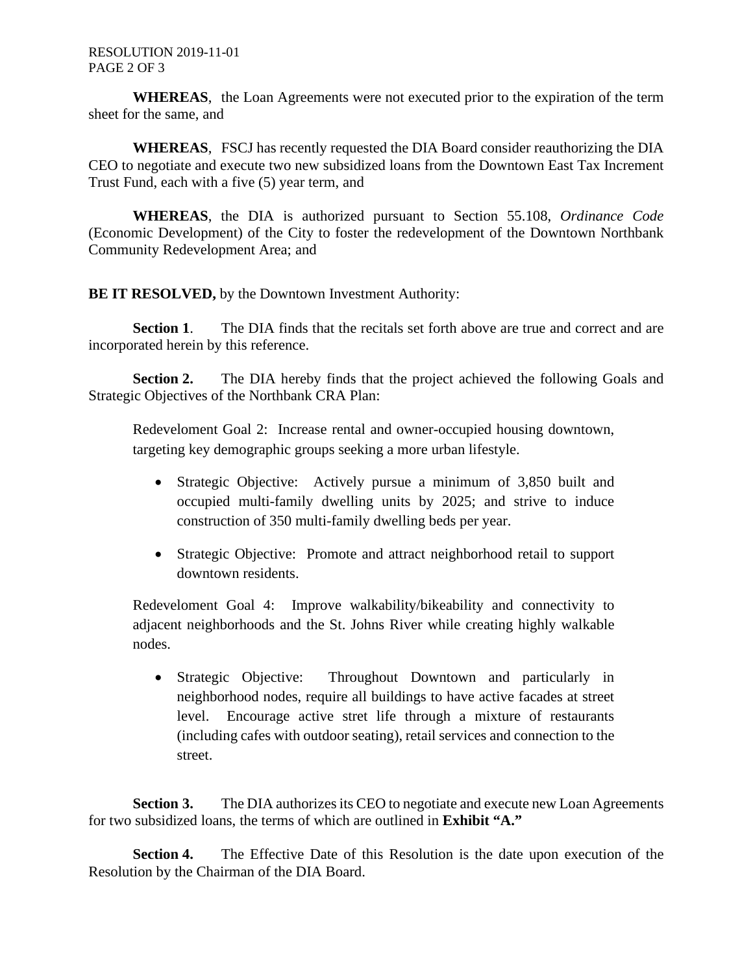**WHEREAS**, the Loan Agreements were not executed prior to the expiration of the term sheet for the same, and

**WHEREAS**, FSCJ has recently requested the DIA Board consider reauthorizing the DIA CEO to negotiate and execute two new subsidized loans from the Downtown East Tax Increment Trust Fund, each with a five (5) year term, and

**WHEREAS**, the DIA is authorized pursuant to Section 55.108, *Ordinance Code* (Economic Development) of the City to foster the redevelopment of the Downtown Northbank Community Redevelopment Area; and

**BE IT RESOLVED,** by the Downtown Investment Authority:

**Section 1.** The DIA finds that the recitals set forth above are true and correct and are incorporated herein by this reference.

**Section 2.** The DIA hereby finds that the project achieved the following Goals and Strategic Objectives of the Northbank CRA Plan:

Redeveloment Goal 2: Increase rental and owner-occupied housing downtown, targeting key demographic groups seeking a more urban lifestyle.

- Strategic Objective: Actively pursue a minimum of 3,850 built and occupied multi-family dwelling units by 2025; and strive to induce construction of 350 multi-family dwelling beds per year.
- Strategic Objective: Promote and attract neighborhood retail to support downtown residents.

Redeveloment Goal 4: Improve walkability/bikeability and connectivity to adjacent neighborhoods and the St. Johns River while creating highly walkable nodes.

• Strategic Objective: Throughout Downtown and particularly in neighborhood nodes, require all buildings to have active facades at street level. Encourage active stret life through a mixture of restaurants (including cafes with outdoor seating), retail services and connection to the street.

**Section 3.** The DIA authorizes its CEO to negotiate and execute new Loan Agreements for two subsidized loans, the terms of which are outlined in **Exhibit "A."**

**Section 4.** The Effective Date of this Resolution is the date upon execution of the Resolution by the Chairman of the DIA Board.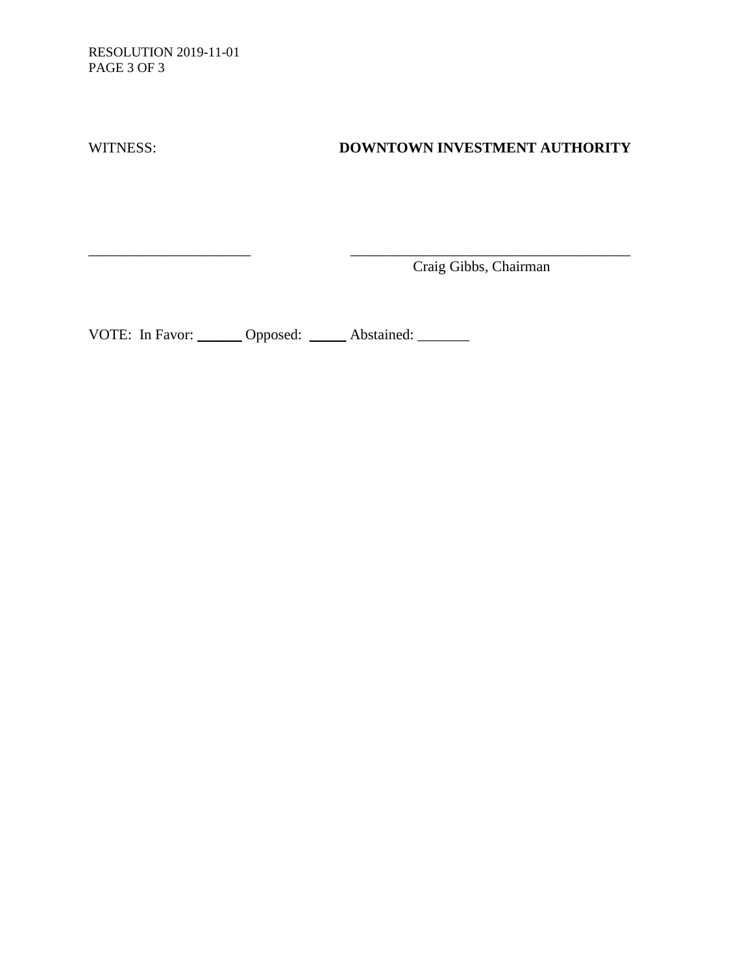RESOLUTION 2019-11-01 PAGE 3 OF 3

# WITNESS: **DOWNTOWN INVESTMENT AUTHORITY**

Craig Gibbs, Chairman

VOTE: In Favor: \_\_\_\_\_\_ Opposed: \_\_\_\_\_ Abstained: \_\_\_\_\_\_

\_\_\_\_\_\_\_\_\_\_\_\_\_\_\_\_\_\_\_\_\_\_ \_\_\_\_\_\_\_\_\_\_\_\_\_\_\_\_\_\_\_\_\_\_\_\_\_\_\_\_\_\_\_\_\_\_\_\_\_\_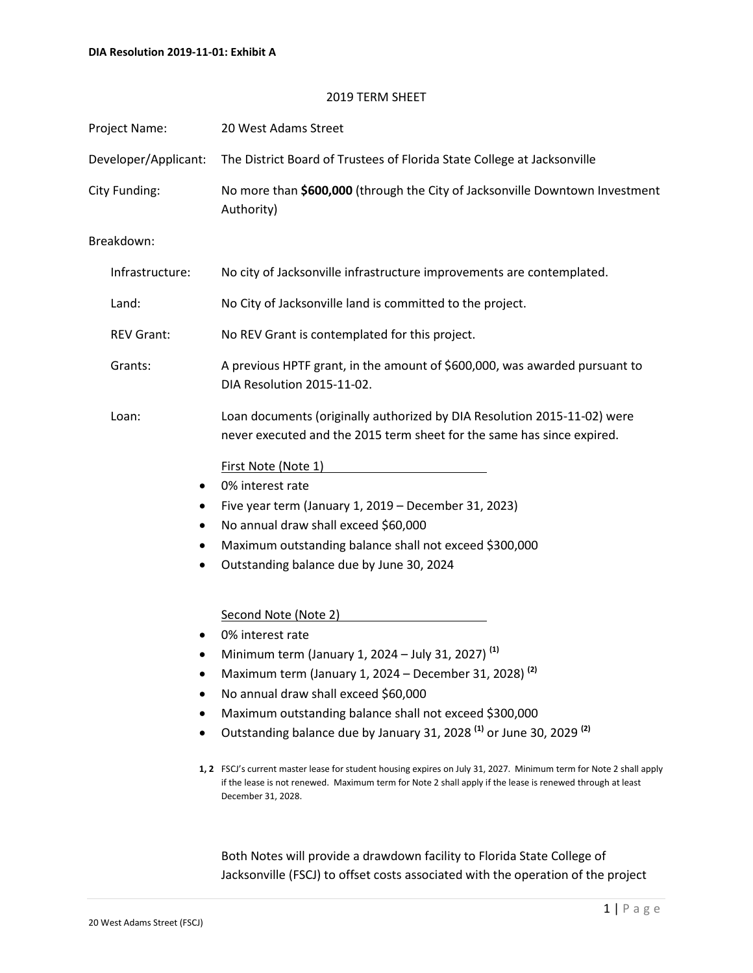#### 2019 TERM SHEET

| Project Name:        | 20 West Adams Street                                                                                                                                                                                                                                                                                                                                                                                                                                                                                                                                                                                                                                                                                                                                           |
|----------------------|----------------------------------------------------------------------------------------------------------------------------------------------------------------------------------------------------------------------------------------------------------------------------------------------------------------------------------------------------------------------------------------------------------------------------------------------------------------------------------------------------------------------------------------------------------------------------------------------------------------------------------------------------------------------------------------------------------------------------------------------------------------|
| Developer/Applicant: | The District Board of Trustees of Florida State College at Jacksonville                                                                                                                                                                                                                                                                                                                                                                                                                                                                                                                                                                                                                                                                                        |
| City Funding:        | No more than \$600,000 (through the City of Jacksonville Downtown Investment<br>Authority)                                                                                                                                                                                                                                                                                                                                                                                                                                                                                                                                                                                                                                                                     |
| Breakdown:           |                                                                                                                                                                                                                                                                                                                                                                                                                                                                                                                                                                                                                                                                                                                                                                |
| Infrastructure:      | No city of Jacksonville infrastructure improvements are contemplated.                                                                                                                                                                                                                                                                                                                                                                                                                                                                                                                                                                                                                                                                                          |
| Land:                | No City of Jacksonville land is committed to the project.                                                                                                                                                                                                                                                                                                                                                                                                                                                                                                                                                                                                                                                                                                      |
| <b>REV Grant:</b>    | No REV Grant is contemplated for this project.                                                                                                                                                                                                                                                                                                                                                                                                                                                                                                                                                                                                                                                                                                                 |
| Grants:              | A previous HPTF grant, in the amount of \$600,000, was awarded pursuant to<br>DIA Resolution 2015-11-02.                                                                                                                                                                                                                                                                                                                                                                                                                                                                                                                                                                                                                                                       |
| Loan:                | Loan documents (originally authorized by DIA Resolution 2015-11-02) were<br>never executed and the 2015 term sheet for the same has since expired.                                                                                                                                                                                                                                                                                                                                                                                                                                                                                                                                                                                                             |
| $\bullet$            | First Note (Note 1)<br>0% interest rate<br>Five year term (January 1, 2019 - December 31, 2023)<br>No annual draw shall exceed \$60,000<br>Maximum outstanding balance shall not exceed \$300,000<br>Outstanding balance due by June 30, 2024                                                                                                                                                                                                                                                                                                                                                                                                                                                                                                                  |
| ٠<br>٠               | Second Note (Note 2)<br><u> 1980 - Jan James Barbara, politik eta politik eta politik eta politik eta politik eta politik eta politik e</u><br>0% interest rate<br>Minimum term (January 1, 2024 - July 31, 2027) <sup>(1)</sup><br>Maximum term (January 1, 2024 - December 31, 2028) <sup>(2)</sup><br>No annual draw shall exceed \$60,000<br>Maximum outstanding balance shall not exceed \$300,000<br>Outstanding balance due by January 31, 2028 <sup>(1)</sup> or June 30, 2029 <sup>(2)</sup><br>1, 2 FSCJ's current master lease for student housing expires on July 31, 2027. Minimum term for Note 2 shall apply<br>if the lease is not renewed. Maximum term for Note 2 shall apply if the lease is renewed through at least<br>December 31, 2028. |

Both Notes will provide a drawdown facility to Florida State College of Jacksonville (FSCJ) to offset costs associated with the operation of the project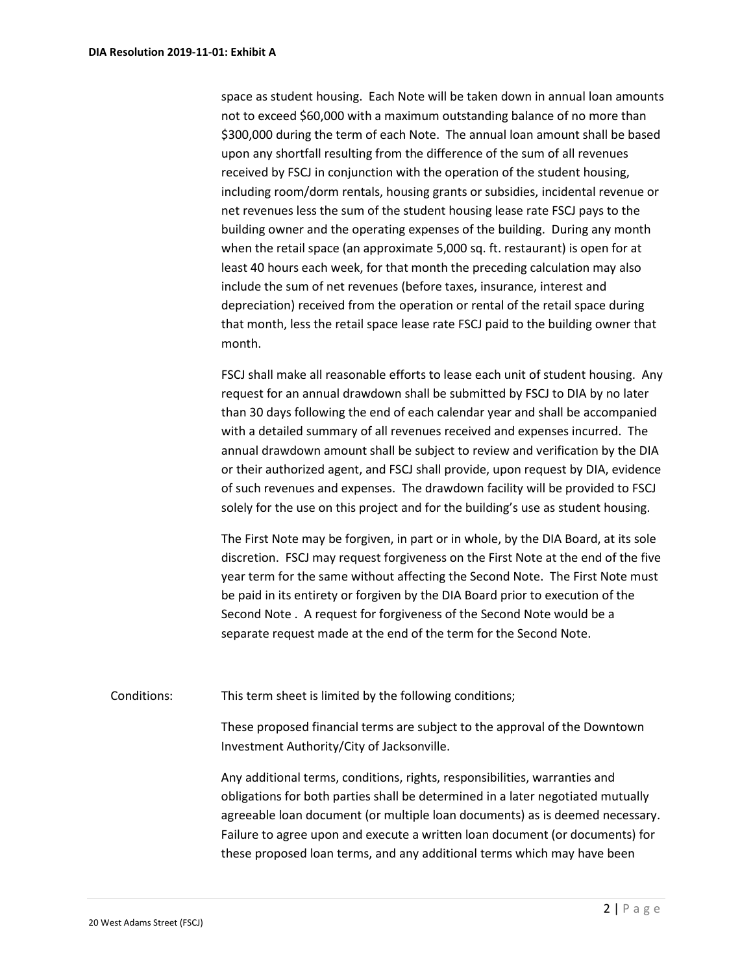space as student housing. Each Note will be taken down in annual loan amounts not to exceed \$60,000 with a maximum outstanding balance of no more than \$300,000 during the term of each Note. The annual loan amount shall be based upon any shortfall resulting from the difference of the sum of all revenues received by FSCJ in conjunction with the operation of the student housing, including room/dorm rentals, housing grants or subsidies, incidental revenue or net revenues less the sum of the student housing lease rate FSCJ pays to the building owner and the operating expenses of the building. During any month when the retail space (an approximate 5,000 sq. ft. restaurant) is open for at least 40 hours each week, for that month the preceding calculation may also include the sum of net revenues (before taxes, insurance, interest and depreciation) received from the operation or rental of the retail space during that month, less the retail space lease rate FSCJ paid to the building owner that month.

FSCJ shall make all reasonable efforts to lease each unit of student housing. Any request for an annual drawdown shall be submitted by FSCJ to DIA by no later than 30 days following the end of each calendar year and shall be accompanied with a detailed summary of all revenues received and expenses incurred. The annual drawdown amount shall be subject to review and verification by the DIA or their authorized agent, and FSCJ shall provide, upon request by DIA, evidence of such revenues and expenses. The drawdown facility will be provided to FSCJ solely for the use on this project and for the building's use as student housing.

The First Note may be forgiven, in part or in whole, by the DIA Board, at its sole discretion. FSCJ may request forgiveness on the First Note at the end of the five year term for the same without affecting the Second Note. The First Note must be paid in its entirety or forgiven by the DIA Board prior to execution of the Second Note . A request for forgiveness of the Second Note would be a separate request made at the end of the term for the Second Note.

Conditions: This term sheet is limited by the following conditions;

These proposed financial terms are subject to the approval of the Downtown Investment Authority/City of Jacksonville.

Any additional terms, conditions, rights, responsibilities, warranties and obligations for both parties shall be determined in a later negotiated mutually agreeable loan document (or multiple loan documents) as is deemed necessary. Failure to agree upon and execute a written loan document (or documents) for these proposed loan terms, and any additional terms which may have been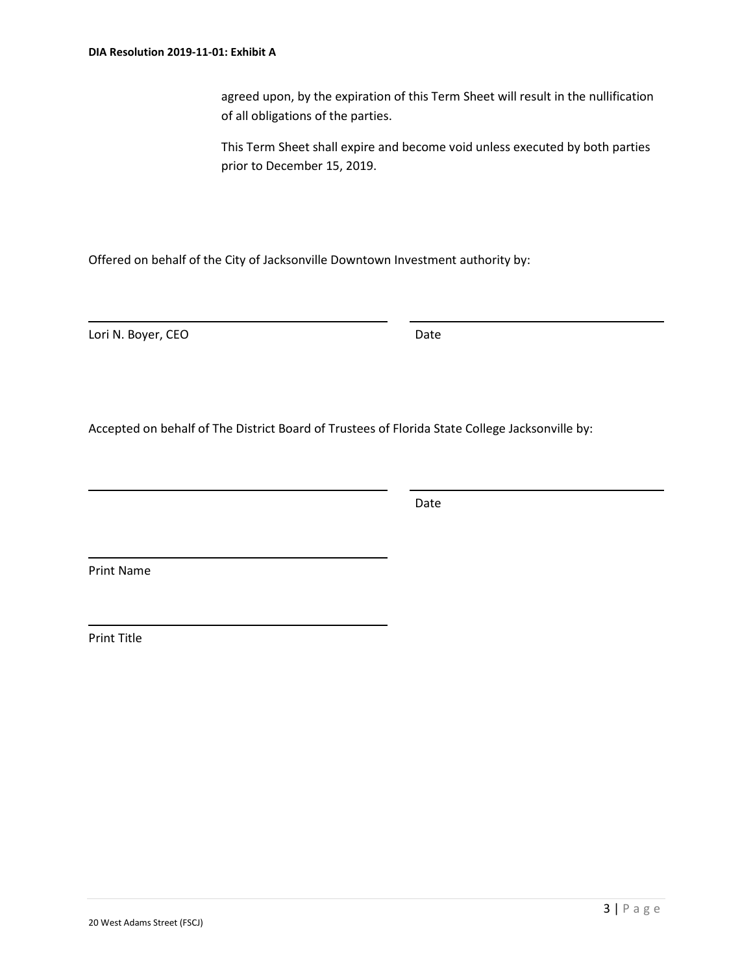agreed upon, by the expiration of this Term Sheet will result in the nullification of all obligations of the parties.

This Term Sheet shall expire and become void unless executed by both parties prior to December 15, 2019.

Offered on behalf of the City of Jacksonville Downtown Investment authority by:

Lori N. Boyer, CEO Date

Accepted on behalf of The District Board of Trustees of Florida State College Jacksonville by:

Date

Print Name

Print Title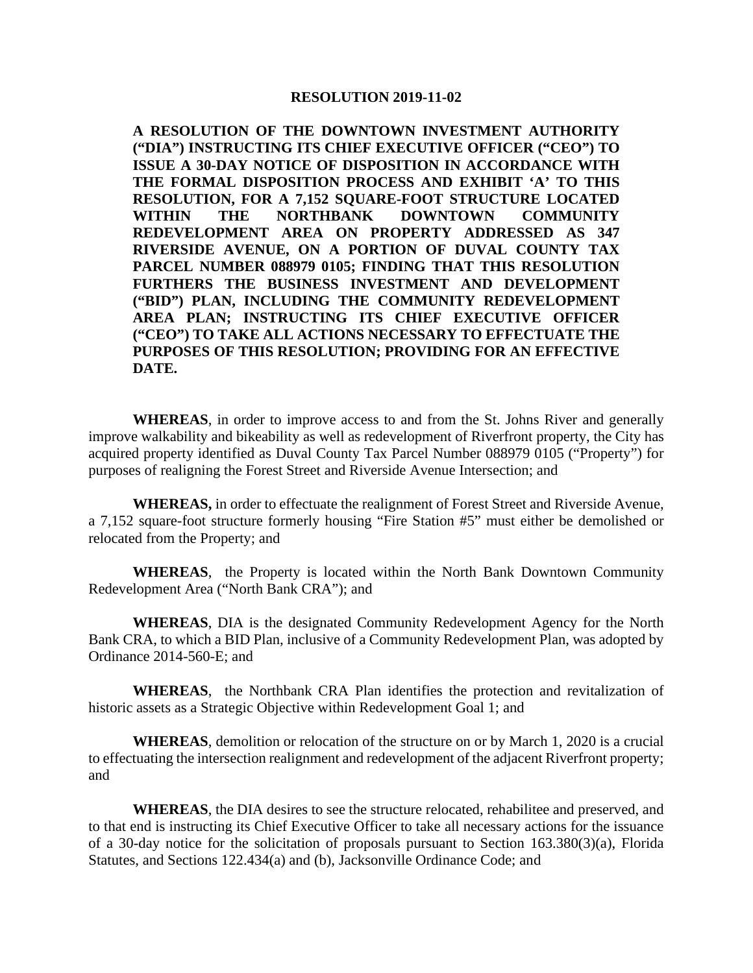#### **RESOLUTION 2019-11-02**

**A RESOLUTION OF THE DOWNTOWN INVESTMENT AUTHORITY ("DIA") INSTRUCTING ITS CHIEF EXECUTIVE OFFICER ("CEO") TO ISSUE A 30-DAY NOTICE OF DISPOSITION IN ACCORDANCE WITH THE FORMAL DISPOSITION PROCESS AND EXHIBIT 'A' TO THIS RESOLUTION, FOR A 7,152 SQUARE-FOOT STRUCTURE LOCATED WITHIN THE NORTHBANK DOWNTOWN COMMUNITY REDEVELOPMENT AREA ON PROPERTY ADDRESSED AS 347 RIVERSIDE AVENUE, ON A PORTION OF DUVAL COUNTY TAX PARCEL NUMBER 088979 0105; FINDING THAT THIS RESOLUTION FURTHERS THE BUSINESS INVESTMENT AND DEVELOPMENT ("BID") PLAN, INCLUDING THE COMMUNITY REDEVELOPMENT AREA PLAN; INSTRUCTING ITS CHIEF EXECUTIVE OFFICER ("CEO") TO TAKE ALL ACTIONS NECESSARY TO EFFECTUATE THE PURPOSES OF THIS RESOLUTION; PROVIDING FOR AN EFFECTIVE DATE.**

**WHEREAS**, in order to improve access to and from the St. Johns River and generally improve walkability and bikeability as well as redevelopment of Riverfront property, the City has acquired property identified as Duval County Tax Parcel Number 088979 0105 ("Property") for purposes of realigning the Forest Street and Riverside Avenue Intersection; and

**WHEREAS,** in order to effectuate the realignment of Forest Street and Riverside Avenue, a 7,152 square-foot structure formerly housing "Fire Station #5" must either be demolished or relocated from the Property; and

**WHEREAS**, the Property is located within the North Bank Downtown Community Redevelopment Area ("North Bank CRA"); and

**WHEREAS**, DIA is the designated Community Redevelopment Agency for the North Bank CRA, to which a BID Plan, inclusive of a Community Redevelopment Plan, was adopted by Ordinance 2014-560-E; and

**WHEREAS**, the Northbank CRA Plan identifies the protection and revitalization of historic assets as a Strategic Objective within Redevelopment Goal 1; and

**WHEREAS**, demolition or relocation of the structure on or by March 1, 2020 is a crucial to effectuating the intersection realignment and redevelopment of the adjacent Riverfront property; and

**WHEREAS**, the DIA desires to see the structure relocated, rehabilitee and preserved, and to that end is instructing its Chief Executive Officer to take all necessary actions for the issuance of a 30-day notice for the solicitation of proposals pursuant to Section 163.380(3)(a), Florida Statutes, and Sections 122.434(a) and (b), Jacksonville Ordinance Code; and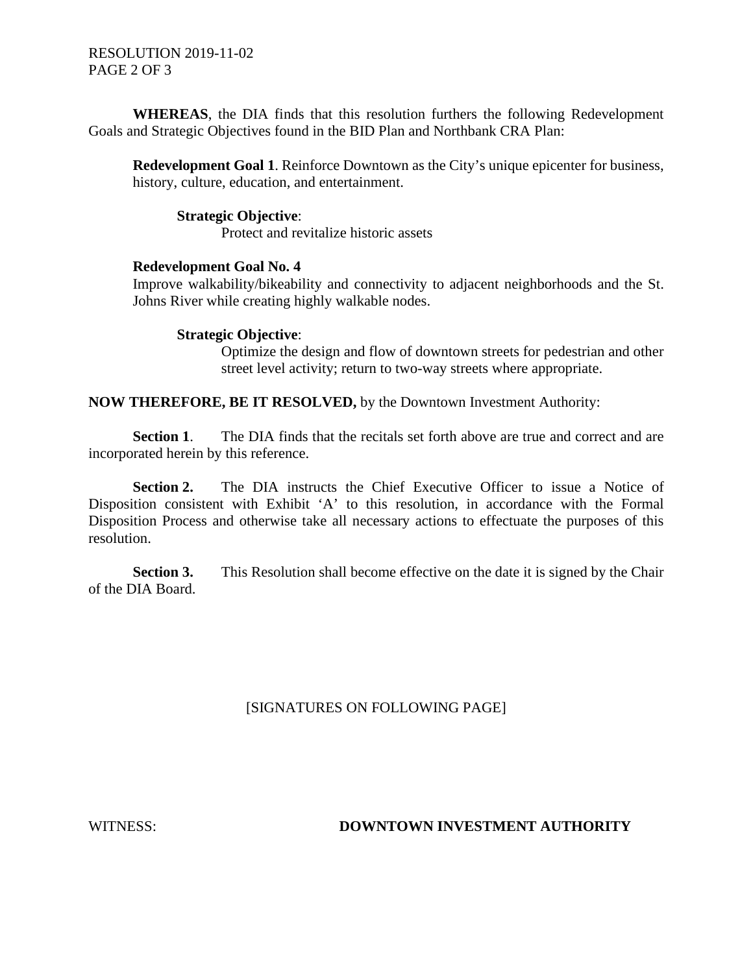RESOLUTION 2019-11-02 PAGE 2 OF 3

**WHEREAS**, the DIA finds that this resolution furthers the following Redevelopment Goals and Strategic Objectives found in the BID Plan and Northbank CRA Plan:

**Redevelopment Goal 1**. Reinforce Downtown as the City's unique epicenter for business, history, culture, education, and entertainment.

#### **Strategic Objective**:

Protect and revitalize historic assets

#### **Redevelopment Goal No. 4**

Improve walkability/bikeability and connectivity to adjacent neighborhoods and the St. Johns River while creating highly walkable nodes.

#### **Strategic Objective**:

Optimize the design and flow of downtown streets for pedestrian and other street level activity; return to two-way streets where appropriate.

#### **NOW THEREFORE, BE IT RESOLVED,** by the Downtown Investment Authority:

**Section 1.** The DIA finds that the recitals set forth above are true and correct and are incorporated herein by this reference.

**Section 2.** The DIA instructs the Chief Executive Officer to issue a Notice of Disposition consistent with Exhibit 'A' to this resolution, in accordance with the Formal Disposition Process and otherwise take all necessary actions to effectuate the purposes of this resolution.

**Section 3.** This Resolution shall become effective on the date it is signed by the Chair of the DIA Board.

### [SIGNATURES ON FOLLOWING PAGE]

#### WITNESS: **DOWNTOWN INVESTMENT AUTHORITY**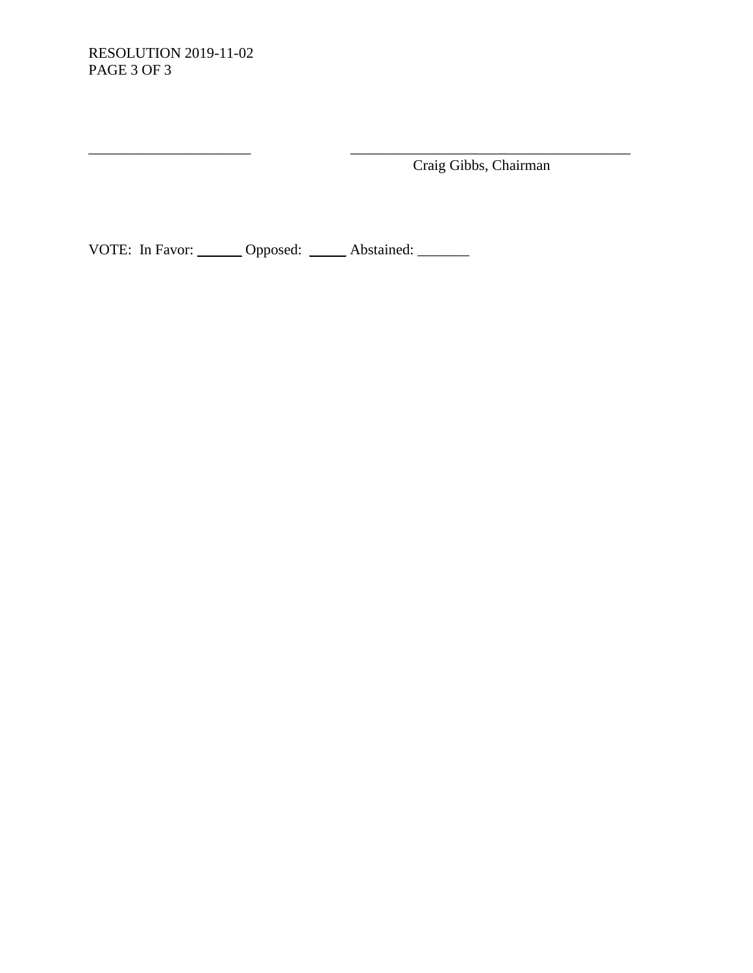Craig Gibbs, Chairman

VOTE: In Favor: \_\_\_\_\_\_ Opposed: \_\_\_\_\_ Abstained: \_\_\_\_\_\_

 $\overline{\phantom{a}}$  ,  $\overline{\phantom{a}}$  ,  $\overline{\phantom{a}}$  ,  $\overline{\phantom{a}}$  ,  $\overline{\phantom{a}}$  ,  $\overline{\phantom{a}}$  ,  $\overline{\phantom{a}}$  ,  $\overline{\phantom{a}}$  ,  $\overline{\phantom{a}}$  ,  $\overline{\phantom{a}}$  ,  $\overline{\phantom{a}}$  ,  $\overline{\phantom{a}}$  ,  $\overline{\phantom{a}}$  ,  $\overline{\phantom{a}}$  ,  $\overline{\phantom{a}}$  ,  $\overline{\phantom{a}}$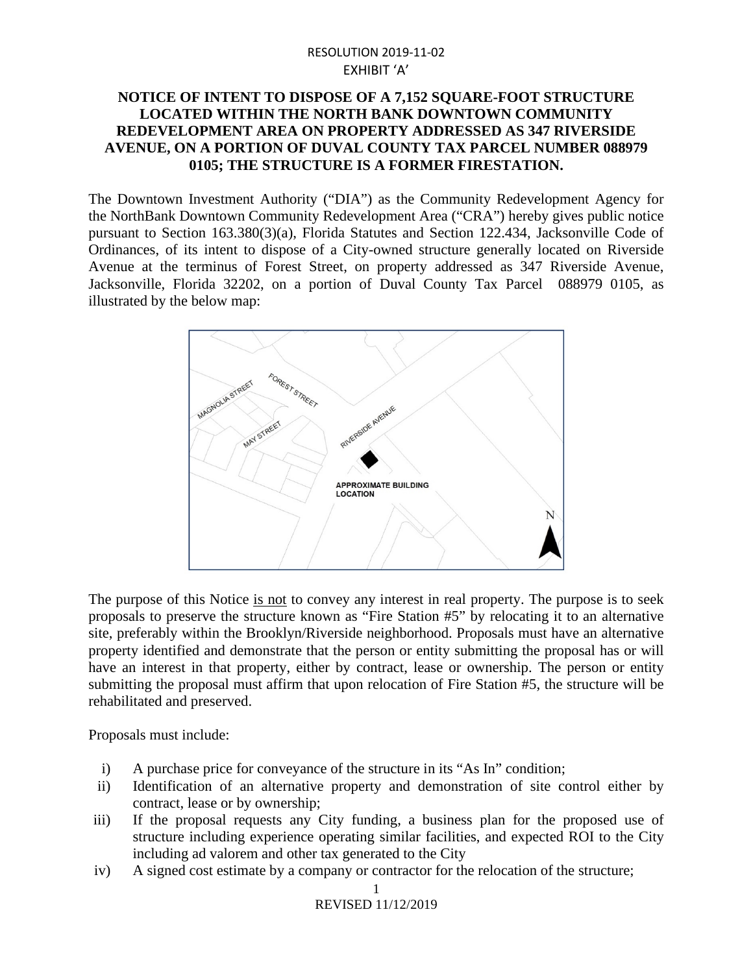### RESOLUTION 2019-11-02 EXHIBIT 'A'

### **NOTICE OF INTENT TO DISPOSE OF A 7,152 SQUARE-FOOT STRUCTURE LOCATED WITHIN THE NORTH BANK DOWNTOWN COMMUNITY REDEVELOPMENT AREA ON PROPERTY ADDRESSED AS 347 RIVERSIDE AVENUE, ON A PORTION OF DUVAL COUNTY TAX PARCEL NUMBER 088979 0105; THE STRUCTURE IS A FORMER FIRESTATION.**

The Downtown Investment Authority ("DIA") as the Community Redevelopment Agency for the NorthBank Downtown Community Redevelopment Area ("CRA") hereby gives public notice pursuant to Section 163.380(3)(a), Florida Statutes and Section 122.434, Jacksonville Code of Ordinances, of its intent to dispose of a City-owned structure generally located on Riverside Avenue at the terminus of Forest Street, on property addressed as 347 Riverside Avenue, Jacksonville, Florida 32202, on a portion of Duval County Tax Parcel 088979 0105, as illustrated by the below map:



The purpose of this Notice is not to convey any interest in real property. The purpose is to seek proposals to preserve the structure known as "Fire Station #5" by relocating it to an alternative site, preferably within the Brooklyn/Riverside neighborhood. Proposals must have an alternative property identified and demonstrate that the person or entity submitting the proposal has or will have an interest in that property, either by contract, lease or ownership. The person or entity submitting the proposal must affirm that upon relocation of Fire Station #5, the structure will be rehabilitated and preserved.

Proposals must include:

- i) A purchase price for conveyance of the structure in its "As In" condition;
- ii) Identification of an alternative property and demonstration of site control either by contract, lease or by ownership;
- iii) If the proposal requests any City funding, a business plan for the proposed use of structure including experience operating similar facilities, and expected ROI to the City including ad valorem and other tax generated to the City
- iv) A signed cost estimate by a company or contractor for the relocation of the structure;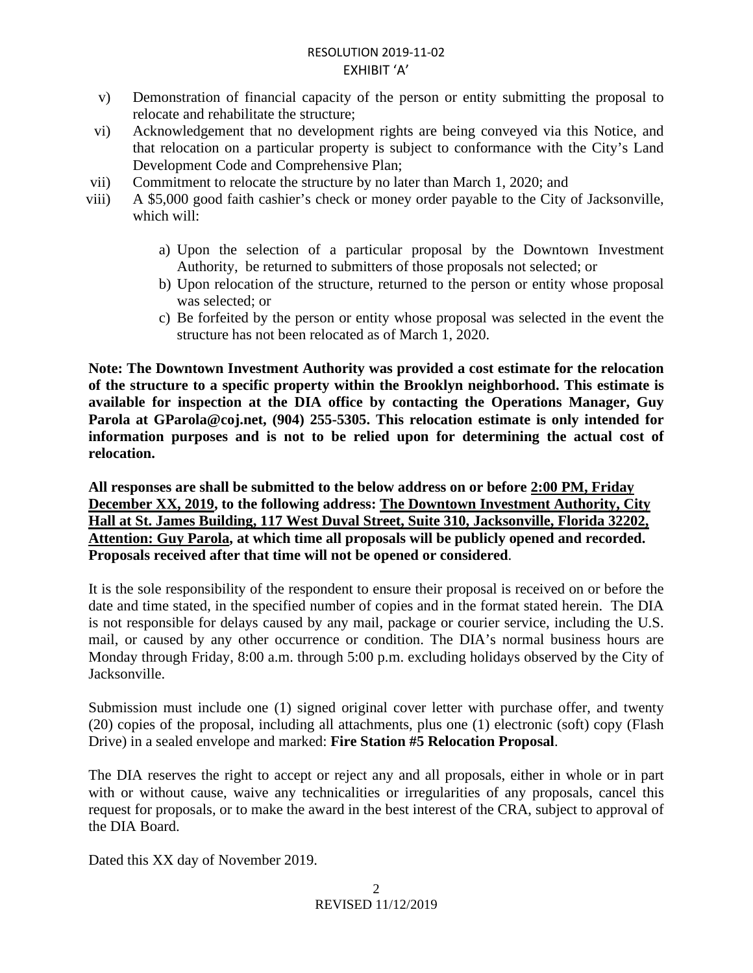### RESOLUTION 2019-11-02 EXHIBIT 'A'

- v) Demonstration of financial capacity of the person or entity submitting the proposal to relocate and rehabilitate the structure;
- vi) Acknowledgement that no development rights are being conveyed via this Notice, and that relocation on a particular property is subject to conformance with the City's Land Development Code and Comprehensive Plan;
- vii) Commitment to relocate the structure by no later than March 1, 2020; and
- viii) A \$5,000 good faith cashier's check or money order payable to the City of Jacksonville, which will:
	- a) Upon the selection of a particular proposal by the Downtown Investment Authority, be returned to submitters of those proposals not selected; or
	- b) Upon relocation of the structure, returned to the person or entity whose proposal was selected; or
	- c) Be forfeited by the person or entity whose proposal was selected in the event the structure has not been relocated as of March 1, 2020.

**Note: The Downtown Investment Authority was provided a cost estimate for the relocation of the structure to a specific property within the Brooklyn neighborhood. This estimate is available for inspection at the DIA office by contacting the Operations Manager, Guy Parola at [GParola@coj.net,](mailto:GParola@coj.net) (904) 255-5305. This relocation estimate is only intended for information purposes and is not to be relied upon for determining the actual cost of relocation.**

**All responses are shall be submitted to the below address on or before 2:00 PM, Friday December XX, 2019, to the following address: The Downtown Investment Authority, City Hall at St. James Building, 117 West Duval Street, Suite 310, Jacksonville, Florida 32202, Attention: Guy Parola, at which time all proposals will be publicly opened and recorded. Proposals received after that time will not be opened or considered**.

It is the sole responsibility of the respondent to ensure their proposal is received on or before the date and time stated, in the specified number of copies and in the format stated herein. The DIA is not responsible for delays caused by any mail, package or courier service, including the U.S. mail, or caused by any other occurrence or condition. The DIA's normal business hours are Monday through Friday, 8:00 a.m. through 5:00 p.m. excluding holidays observed by the City of Jacksonville.

Submission must include one (1) signed original cover letter with purchase offer, and twenty (20) copies of the proposal, including all attachments, plus one (1) electronic (soft) copy (Flash Drive) in a sealed envelope and marked: **Fire Station #5 Relocation Proposal**.

The DIA reserves the right to accept or reject any and all proposals, either in whole or in part with or without cause, waive any technicalities or irregularities of any proposals, cancel this request for proposals, or to make the award in the best interest of the CRA, subject to approval of the DIA Board.

Dated this XX day of November 2019.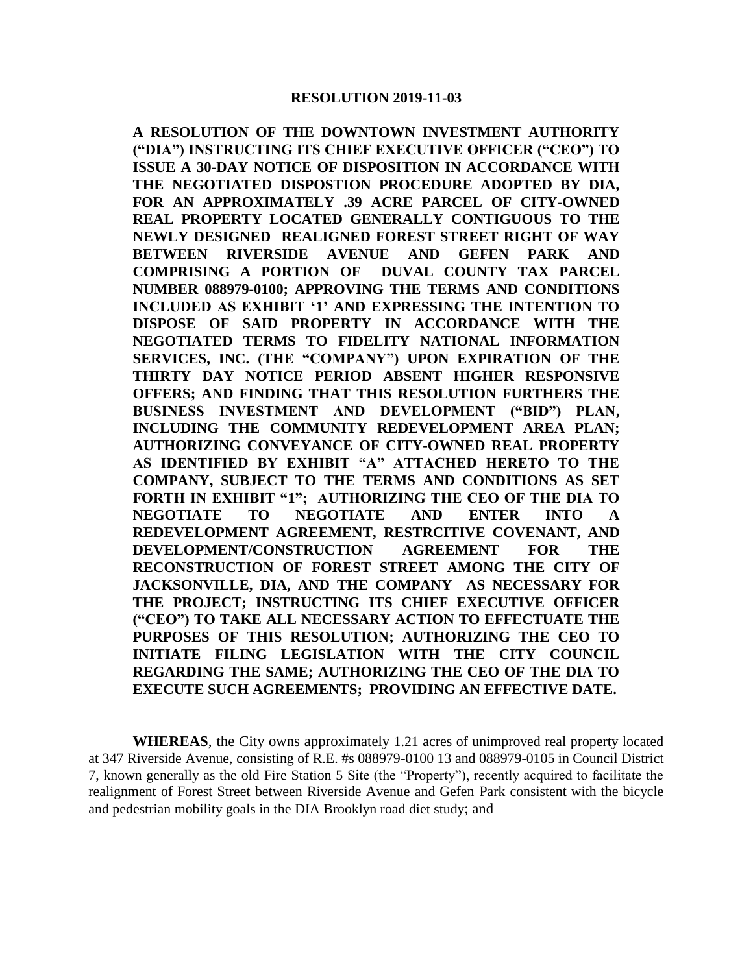**A RESOLUTION OF THE DOWNTOWN INVESTMENT AUTHORITY ("DIA") INSTRUCTING ITS CHIEF EXECUTIVE OFFICER ("CEO") TO ISSUE A 30-DAY NOTICE OF DISPOSITION IN ACCORDANCE WITH THE NEGOTIATED DISPOSTION PROCEDURE ADOPTED BY DIA, FOR AN APPROXIMATELY .39 ACRE PARCEL OF CITY-OWNED REAL PROPERTY LOCATED GENERALLY CONTIGUOUS TO THE NEWLY DESIGNED REALIGNED FOREST STREET RIGHT OF WAY BETWEEN RIVERSIDE AVENUE AND GEFEN PARK AND COMPRISING A PORTION OF DUVAL COUNTY TAX PARCEL NUMBER [088979-0100;](https://paopropertysearch.coj.net/Basic/Detail.aspx?RE=0889790100) APPROVING THE TERMS AND CONDITIONS INCLUDED AS EXHIBIT '1' AND EXPRESSING THE INTENTION TO DISPOSE OF SAID PROPERTY IN ACCORDANCE WITH THE NEGOTIATED TERMS TO FIDELITY NATIONAL INFORMATION SERVICES, INC. (THE "COMPANY") UPON EXPIRATION OF THE THIRTY DAY NOTICE PERIOD ABSENT HIGHER RESPONSIVE OFFERS; AND FINDING THAT THIS RESOLUTION FURTHERS THE BUSINESS INVESTMENT AND DEVELOPMENT ("BID") PLAN, INCLUDING THE COMMUNITY REDEVELOPMENT AREA PLAN; AUTHORIZING CONVEYANCE OF CITY-OWNED REAL PROPERTY AS IDENTIFIED BY EXHIBIT "A" ATTACHED HERETO TO THE COMPANY, SUBJECT TO THE TERMS AND CONDITIONS AS SET FORTH IN EXHIBIT "1"; AUTHORIZING THE CEO OF THE DIA TO NEGOTIATE TO NEGOTIATE AND ENTER INTO A REDEVELOPMENT AGREEMENT, RESTRCITIVE COVENANT, AND DEVELOPMENT/CONSTRUCTION AGREEMENT FOR THE RECONSTRUCTION OF FOREST STREET AMONG THE CITY OF JACKSONVILLE, DIA, AND THE COMPANY AS NECESSARY FOR THE PROJECT; INSTRUCTING ITS CHIEF EXECUTIVE OFFICER ("CEO") TO TAKE ALL NECESSARY ACTION TO EFFECTUATE THE PURPOSES OF THIS RESOLUTION; AUTHORIZING THE CEO TO INITIATE FILING LEGISLATION WITH THE CITY COUNCIL REGARDING THE SAME; AUTHORIZING THE CEO OF THE DIA TO EXECUTE SUCH AGREEMENTS; PROVIDING AN EFFECTIVE DATE.**

**WHEREAS**, the City owns approximately 1.21 acres of unimproved real property located at 347 Riverside Avenue, consisting of R.E. #s 088979-0100 13 and 088979-0105 in Council District 7, known generally as the old Fire Station 5 Site (the "Property"), recently acquired to facilitate the realignment of Forest Street between Riverside Avenue and Gefen Park consistent with the bicycle and pedestrian mobility goals in the DIA Brooklyn road diet study; and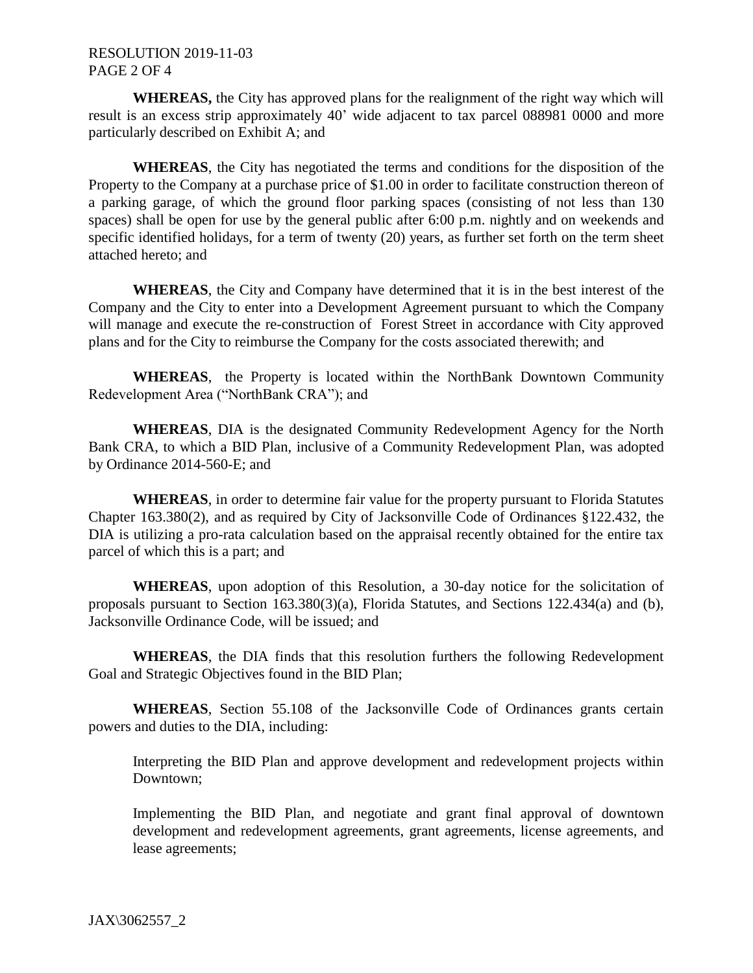### RESOLUTION 2019-11-03 PAGE 2 OF 4

**WHEREAS,** the City has approved plans for the realignment of the right way which will result is an excess strip approximately 40' wide adjacent to tax parcel 088981 0000 and more particularly described on Exhibit A; and

**WHEREAS**, the City has negotiated the terms and conditions for the disposition of the Property to the Company at a purchase price of \$1.00 in order to facilitate construction thereon of a parking garage, of which the ground floor parking spaces (consisting of not less than 130 spaces) shall be open for use by the general public after 6:00 p.m. nightly and on weekends and specific identified holidays, for a term of twenty (20) years, as further set forth on the term sheet attached hereto; and

**WHEREAS**, the City and Company have determined that it is in the best interest of the Company and the City to enter into a Development Agreement pursuant to which the Company will manage and execute the re-construction of Forest Street in accordance with City approved plans and for the City to reimburse the Company for the costs associated therewith; and

**WHEREAS**, the Property is located within the NorthBank Downtown Community Redevelopment Area ("NorthBank CRA"); and

**WHEREAS**, DIA is the designated Community Redevelopment Agency for the North Bank CRA, to which a BID Plan, inclusive of a Community Redevelopment Plan, was adopted by Ordinance 2014-560-E; and

**WHEREAS**, in order to determine fair value for the property pursuant to Florida Statutes Chapter 163.380(2), and as required by City of Jacksonville Code of Ordinances §122.432, the DIA is utilizing a pro-rata calculation based on the appraisal recently obtained for the entire tax parcel of which this is a part; and

**WHEREAS**, upon adoption of this Resolution, a 30-day notice for the solicitation of proposals pursuant to Section 163.380(3)(a), Florida Statutes, and Sections 122.434(a) and (b), Jacksonville Ordinance Code, will be issued; and

**WHEREAS**, the DIA finds that this resolution furthers the following Redevelopment Goal and Strategic Objectives found in the BID Plan;

**WHEREAS**, Section 55.108 of the Jacksonville Code of Ordinances grants certain powers and duties to the DIA, including:

Interpreting the BID Plan and approve development and redevelopment projects within Downtown;

Implementing the BID Plan, and negotiate and grant final approval of downtown development and redevelopment agreements, grant agreements, license agreements, and lease agreements;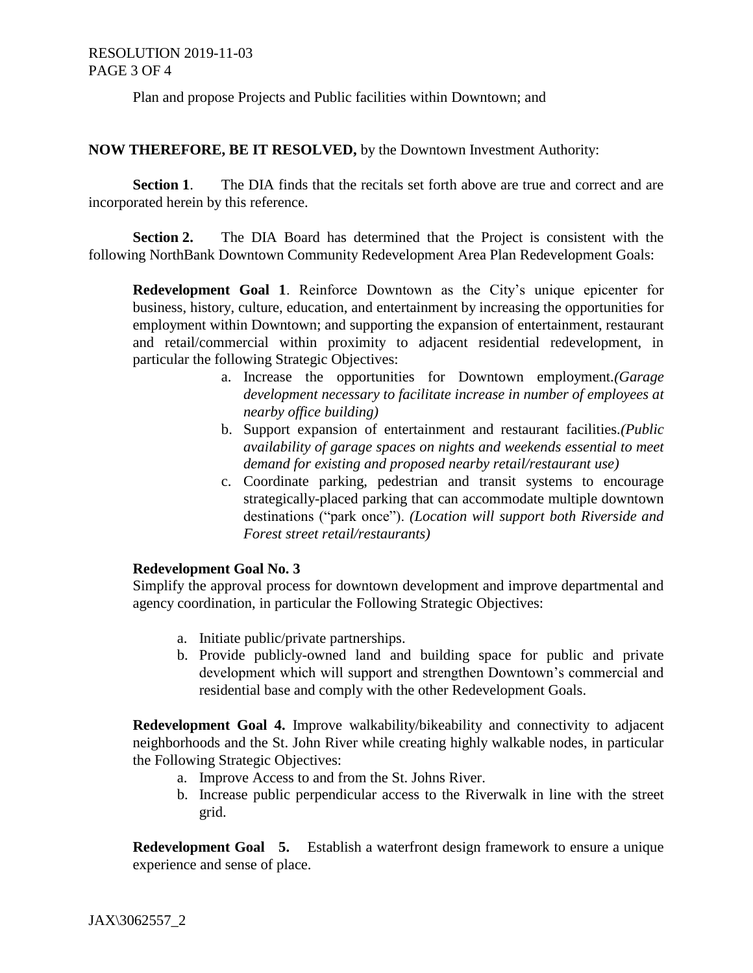### RESOLUTION 2019-11-03 PAGE 3 OF 4

Plan and propose Projects and Public facilities within Downtown; and

#### **NOW THEREFORE, BE IT RESOLVED,** by the Downtown Investment Authority:

**Section 1**. The DIA finds that the recitals set forth above are true and correct and are incorporated herein by this reference.

**Section 2.** The DIA Board has determined that the Project is consistent with the following NorthBank Downtown Community Redevelopment Area Plan Redevelopment Goals:

**Redevelopment Goal 1**. Reinforce Downtown as the City's unique epicenter for business, history, culture, education, and entertainment by increasing the opportunities for employment within Downtown; and supporting the expansion of entertainment, restaurant and retail/commercial within proximity to adjacent residential redevelopment, in particular the following Strategic Objectives:

- a. Increase the opportunities for Downtown employment*.(Garage development necessary to facilitate increase in number of employees at nearby office building)*
- b. Support expansion of entertainment and restaurant facilities*.(Public availability of garage spaces on nights and weekends essential to meet demand for existing and proposed nearby retail/restaurant use)*
- c. Coordinate parking, pedestrian and transit systems to encourage strategically-placed parking that can accommodate multiple downtown destinations ("park once"). *(Location will support both Riverside and Forest street retail/restaurants)*

### **Redevelopment Goal No. 3**

Simplify the approval process for downtown development and improve departmental and agency coordination, in particular the Following Strategic Objectives:

- a. Initiate public/private partnerships.
- b. Provide publicly-owned land and building space for public and private development which will support and strengthen Downtown's commercial and residential base and comply with the other Redevelopment Goals.

**Redevelopment Goal 4.** Improve walkability/bikeability and connectivity to adjacent neighborhoods and the St. John River while creating highly walkable nodes, in particular the Following Strategic Objectives:

- a. Improve Access to and from the St. Johns River.
- b. Increase public perpendicular access to the Riverwalk in line with the street grid.

**Redevelopment Goal 5.** Establish a waterfront design framework to ensure a unique experience and sense of place.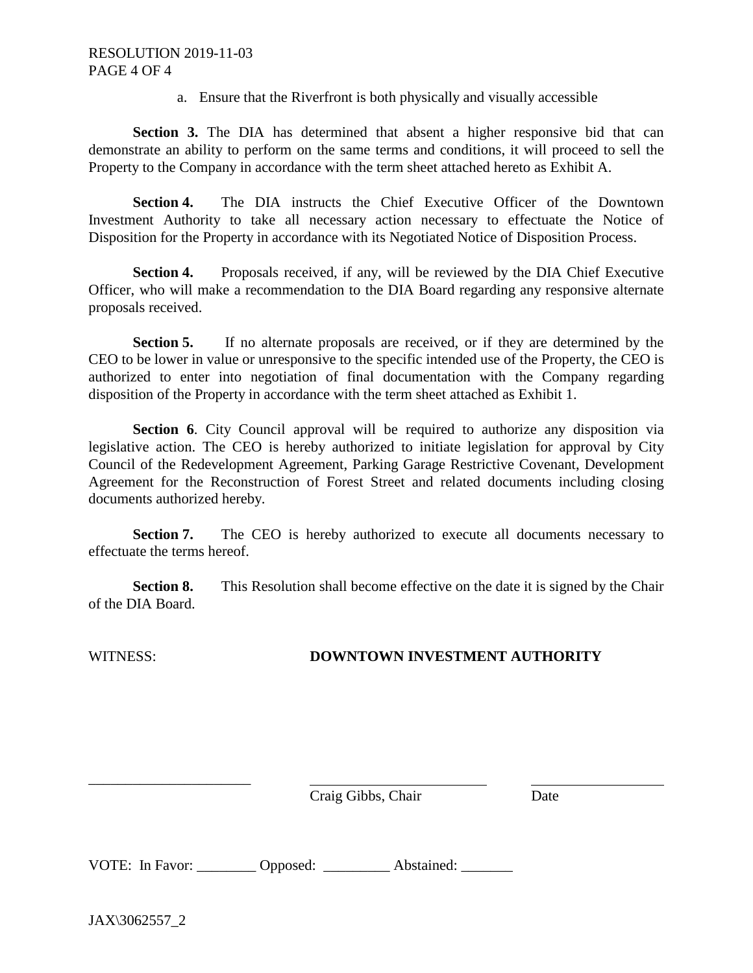a. Ensure that the Riverfront is both physically and visually accessible

**Section 3.** The DIA has determined that absent a higher responsive bid that can demonstrate an ability to perform on the same terms and conditions, it will proceed to sell the Property to the Company in accordance with the term sheet attached hereto as Exhibit A.

**Section 4.** The DIA instructs the Chief Executive Officer of the Downtown Investment Authority to take all necessary action necessary to effectuate the Notice of Disposition for the Property in accordance with its Negotiated Notice of Disposition Process.

**Section 4.** Proposals received, if any, will be reviewed by the DIA Chief Executive Officer, who will make a recommendation to the DIA Board regarding any responsive alternate proposals received.

**Section 5.** If no alternate proposals are received, or if they are determined by the CEO to be lower in value or unresponsive to the specific intended use of the Property, the CEO is authorized to enter into negotiation of final documentation with the Company regarding disposition of the Property in accordance with the term sheet attached as Exhibit 1.

**Section 6**. City Council approval will be required to authorize any disposition via legislative action. The CEO is hereby authorized to initiate legislation for approval by City Council of the Redevelopment Agreement, Parking Garage Restrictive Covenant, Development Agreement for the Reconstruction of Forest Street and related documents including closing documents authorized hereby.

**Section 7.** The CEO is hereby authorized to execute all documents necessary to effectuate the terms hereof.

**Section 8.** This Resolution shall become effective on the date it is signed by the Chair of the DIA Board.

### WITNESS: **DOWNTOWN INVESTMENT AUTHORITY**

Craig Gibbs, Chair Date

VOTE: In Favor: Opposed: Abstained:

JAX\3062557\_2

\_\_\_\_\_\_\_\_\_\_\_\_\_\_\_\_\_\_\_\_\_\_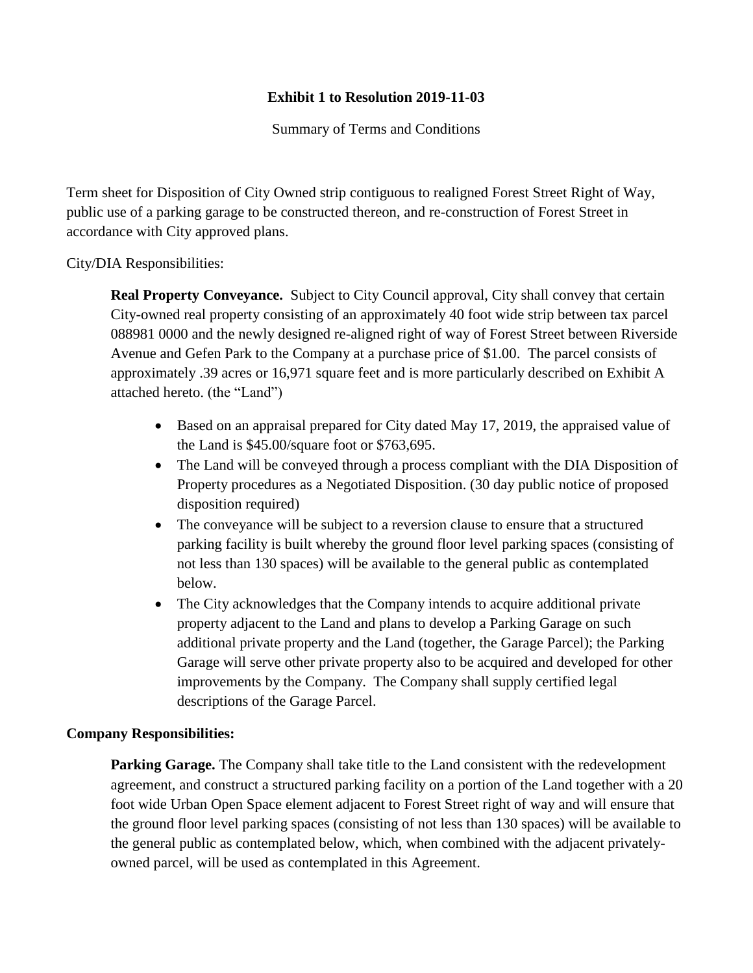# **Exhibit 1 to Resolution 2019-11-03**

Summary of Terms and Conditions

Term sheet for Disposition of City Owned strip contiguous to realigned Forest Street Right of Way, public use of a parking garage to be constructed thereon, and re-construction of Forest Street in accordance with City approved plans.

City/DIA Responsibilities:

**Real Property Conveyance.** Subject to City Council approval, City shall convey that certain City-owned real property consisting of an approximately 40 foot wide strip between tax parcel 088981 0000 and the newly designed re-aligned right of way of Forest Street between Riverside Avenue and Gefen Park to the Company at a purchase price of \$1.00. The parcel consists of approximately .39 acres or 16,971 square feet and is more particularly described on Exhibit A attached hereto. (the "Land")

- Based on an appraisal prepared for City dated May 17, 2019, the appraised value of the Land is \$45.00/square foot or \$763,695.
- The Land will be conveyed through a process compliant with the DIA Disposition of Property procedures as a Negotiated Disposition. (30 day public notice of proposed disposition required)
- The conveyance will be subject to a reversion clause to ensure that a structured parking facility is built whereby the ground floor level parking spaces (consisting of not less than 130 spaces) will be available to the general public as contemplated below.
- The City acknowledges that the Company intends to acquire additional private property adjacent to the Land and plans to develop a Parking Garage on such additional private property and the Land (together, the Garage Parcel); the Parking Garage will serve other private property also to be acquired and developed for other improvements by the Company. The Company shall supply certified legal descriptions of the Garage Parcel.

### **Company Responsibilities:**

**Parking Garage.** The Company shall take title to the Land consistent with the redevelopment agreement, and construct a structured parking facility on a portion of the Land together with a 20 foot wide Urban Open Space element adjacent to Forest Street right of way and will ensure that the ground floor level parking spaces (consisting of not less than 130 spaces) will be available to the general public as contemplated below, which, when combined with the adjacent privatelyowned parcel, will be used as contemplated in this Agreement.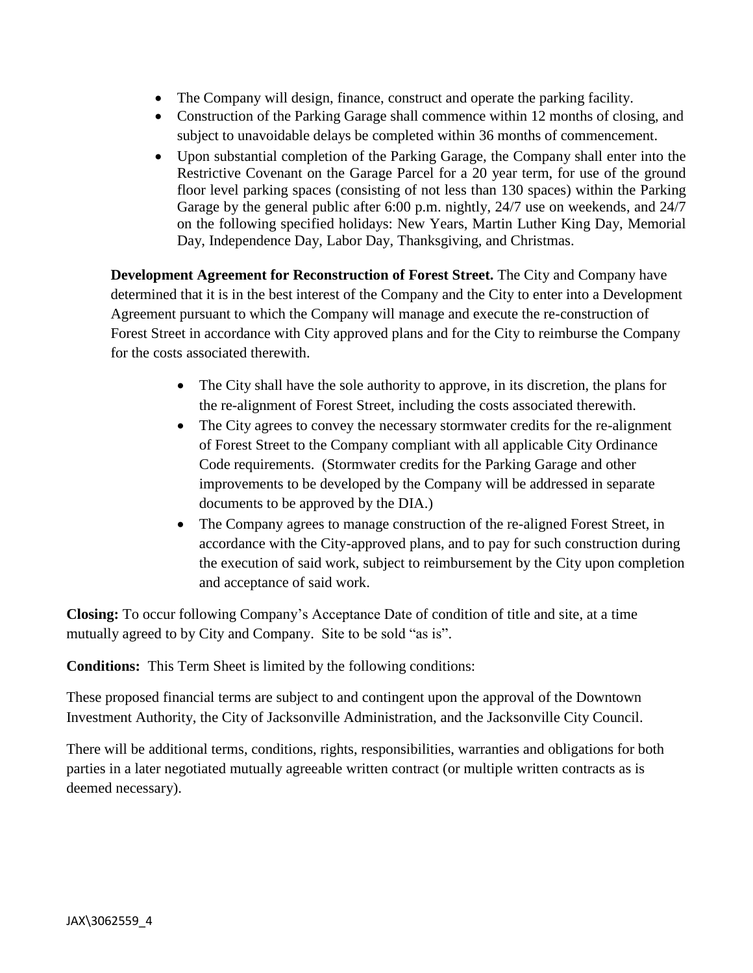- The Company will design, finance, construct and operate the parking facility.
- Construction of the Parking Garage shall commence within 12 months of closing, and subject to unavoidable delays be completed within 36 months of commencement.
- Upon substantial completion of the Parking Garage, the Company shall enter into the Restrictive Covenant on the Garage Parcel for a 20 year term, for use of the ground floor level parking spaces (consisting of not less than 130 spaces) within the Parking Garage by the general public after 6:00 p.m. nightly, 24/7 use on weekends, and 24/7 on the following specified holidays: New Years, Martin Luther King Day, Memorial Day, Independence Day, Labor Day, Thanksgiving, and Christmas.

**Development Agreement for Reconstruction of Forest Street.** The City and Company have determined that it is in the best interest of the Company and the City to enter into a Development Agreement pursuant to which the Company will manage and execute the re-construction of Forest Street in accordance with City approved plans and for the City to reimburse the Company for the costs associated therewith.

- The City shall have the sole authority to approve, in its discretion, the plans for the re-alignment of Forest Street, including the costs associated therewith.
- The City agrees to convey the necessary stormwater credits for the re-alignment of Forest Street to the Company compliant with all applicable City Ordinance Code requirements. (Stormwater credits for the Parking Garage and other improvements to be developed by the Company will be addressed in separate documents to be approved by the DIA.)
- The Company agrees to manage construction of the re-aligned Forest Street, in accordance with the City-approved plans, and to pay for such construction during the execution of said work, subject to reimbursement by the City upon completion and acceptance of said work.

**Closing:** To occur following Company's Acceptance Date of condition of title and site, at a time mutually agreed to by City and Company. Site to be sold "as is".

**Conditions:** This Term Sheet is limited by the following conditions:

These proposed financial terms are subject to and contingent upon the approval of the Downtown Investment Authority, the City of Jacksonville Administration, and the Jacksonville City Council.

There will be additional terms, conditions, rights, responsibilities, warranties and obligations for both parties in a later negotiated mutually agreeable written contract (or multiple written contracts as is deemed necessary).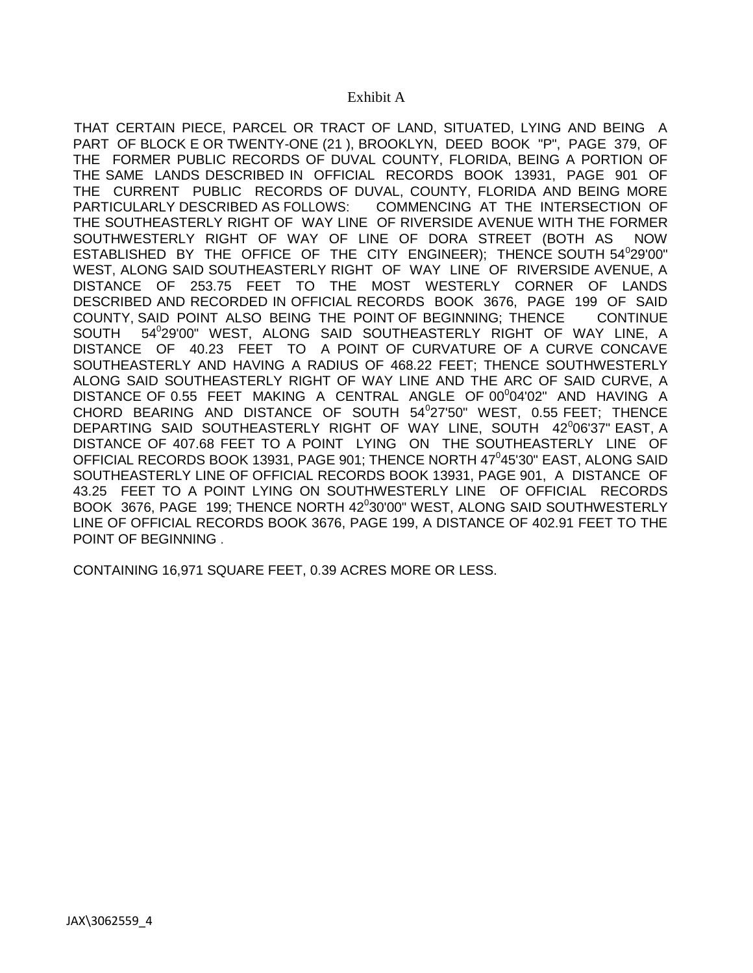#### Exhibit A

THAT CERTAIN PIECE, PARCEL OR TRACT OF LAND, SITUATED, LYING AND BEING A PART OF BLOCK E OR TWENTY-ONE (21 ), BROOKLYN, DEED BOOK "P", PAGE 379, OF THE FORMER PUBLIC RECORDS OF DUVAL COUNTY, FLORIDA, BEING A PORTION OF THE SAME LANDS DESCRIBED IN OFFICIAL RECORDS BOOK 13931, PAGE 901 OF THE CURRENT PUBLIC RECORDS OF DUVAL, COUNTY, FLORIDA AND BEING MORE PARTICULARLY DESCRIBED AS FOLLOWS: COMMENCING AT THE INTERSECTION OF THE SOUTHEASTERLY RIGHT OF WAY LINE OF RIVERSIDE AVENUE WITH THE FORMER SOUTHWESTERLY RIGHT OF WAY OF LINE OF DORA STREET (BOTH AS NOW ESTABLISHED BY THE OFFICE OF THE CITY ENGINEER); THENCE SOUTH  $54^{\circ}29^{\prime}00^{\prime\prime}$ WEST, ALONG SAID SOUTHEASTERLY RIGHT OF WAY LINE OF RIVERSIDE AVENUE, A DISTANCE OF 253.75 FEET TO THE MOST WESTERLY CORNER OF LANDS DESCRIBED AND RECORDED IN OFFICIAL RECORDS BOOK 3676, PAGE 199 OF SAID COUNTY, SAID POINT ALSO BEING THE POINT OF BEGINNING; THENCE CONTINUE SOUTH 5 29'00" WEST, ALONG SAID SOUTHEASTERLY RIGHT OF WAY LINE, A DISTANCE OF 40.23 FEET TO A POINT OF CURVATURE OF A CURVE CONCAVE SOUTHEASTERLY AND HAVING A RADIUS OF 468.22 FEET; THENCE SOUTHWESTERLY ALONG SAID SOUTHEASTERLY RIGHT OF WAY LINE AND THE ARC OF SAID CURVE, A DISTANCE OF 0.55 FEET MAKING A CENTRAL ANGLE OF 00<sup>0</sup>04'02" AND HAVING A CHORD BEARING AND DISTANCE OF SOUTH 54<sup>0</sup>27'50" WEST, 0.55 FEET; THENCE DEPARTING SAID SOUTHEASTERLY RIGHT OF WAY LINE, SOUTH 42°06'37" EAST, A DISTANCE OF 407.68 FEET TO A POINT LYING ON THE SOUTHEASTERLY LINE OF OFFICIAL RECORDS BOOK 13931, PAGE 901; THENCE NORTH 47<sup>0</sup>45'30" EAST, ALONG SAID SOUTHEASTERLY LINE OF OFFICIAL RECORDS BOOK 13931, PAGE 901, A DISTANCE OF 43.25 FEET TO A POINT LYING ON SOUTHWESTERLY LINE OF OFFICIAL RECORDS BOOK 3676, PAGE 199; THENCE NORTH 42<sup>0</sup>30'00" WEST, ALONG SAID SOUTHWESTERLY LINE OF OFFICIAL RECORDS BOOK 3676, PAGE 199, A DISTANCE OF 402.91 FEET TO THE POINT OF BEGINNING .

CONTAINING 16,971 SQUARE FEET, 0.39 ACRES MORE OR LESS.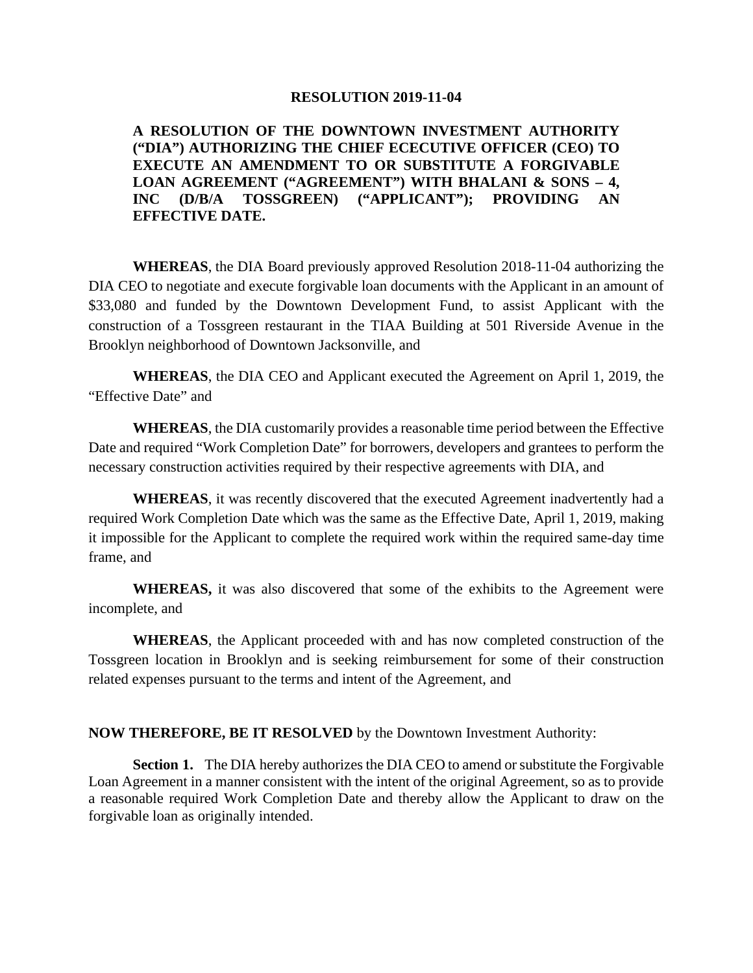#### **RESOLUTION 2019-11-04**

### **A RESOLUTION OF THE DOWNTOWN INVESTMENT AUTHORITY ("DIA") AUTHORIZING THE CHIEF ECECUTIVE OFFICER (CEO) TO EXECUTE AN AMENDMENT TO OR SUBSTITUTE A FORGIVABLE LOAN AGREEMENT ("AGREEMENT") WITH BHALANI & SONS – 4, INC (D/B/A TOSSGREEN) ("APPLICANT"); PROVIDING AN EFFECTIVE DATE.**

**WHEREAS**, the DIA Board previously approved Resolution 2018-11-04 authorizing the DIA CEO to negotiate and execute forgivable loan documents with the Applicant in an amount of \$33,080 and funded by the Downtown Development Fund, to assist Applicant with the construction of a Tossgreen restaurant in the TIAA Building at 501 Riverside Avenue in the Brooklyn neighborhood of Downtown Jacksonville, and

**WHEREAS**, the DIA CEO and Applicant executed the Agreement on April 1, 2019, the "Effective Date" and

**WHEREAS**, the DIA customarily provides a reasonable time period between the Effective Date and required "Work Completion Date" for borrowers, developers and grantees to perform the necessary construction activities required by their respective agreements with DIA, and

**WHEREAS**, it was recently discovered that the executed Agreement inadvertently had a required Work Completion Date which was the same as the Effective Date, April 1, 2019, making it impossible for the Applicant to complete the required work within the required same-day time frame, and

**WHEREAS,** it was also discovered that some of the exhibits to the Agreement were incomplete, and

**WHEREAS**, the Applicant proceeded with and has now completed construction of the Tossgreen location in Brooklyn and is seeking reimbursement for some of their construction related expenses pursuant to the terms and intent of the Agreement, and

#### **NOW THEREFORE, BE IT RESOLVED** by the Downtown Investment Authority:

**Section 1.** The DIA hereby authorizes the DIA CEO to amend or substitute the Forgivable Loan Agreement in a manner consistent with the intent of the original Agreement, so as to provide a reasonable required Work Completion Date and thereby allow the Applicant to draw on the forgivable loan as originally intended.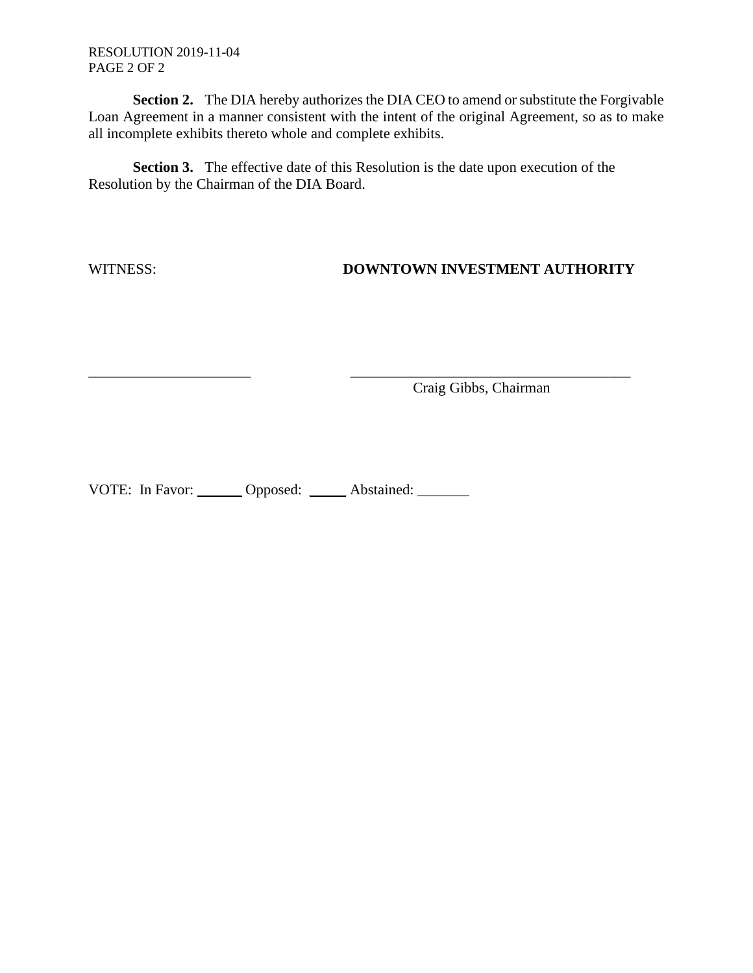RESOLUTION 2019-11-04 PAGE 2 OF 2

**Section 2.** The DIA hereby authorizes the DIA CEO to amend or substitute the Forgivable Loan Agreement in a manner consistent with the intent of the original Agreement, so as to make all incomplete exhibits thereto whole and complete exhibits.

**Section 3.** The effective date of this Resolution is the date upon execution of the Resolution by the Chairman of the DIA Board.

\_\_\_\_\_\_\_\_\_\_\_\_\_\_\_\_\_\_\_\_\_\_ \_\_\_\_\_\_\_\_\_\_\_\_\_\_\_\_\_\_\_\_\_\_\_\_\_\_\_\_\_\_\_\_\_\_\_\_\_\_

### WITNESS: **DOWNTOWN INVESTMENT AUTHORITY**

Craig Gibbs, Chairman

VOTE: In Favor: \_\_\_\_\_\_ Opposed: \_\_\_\_\_ Abstained: \_\_\_\_\_\_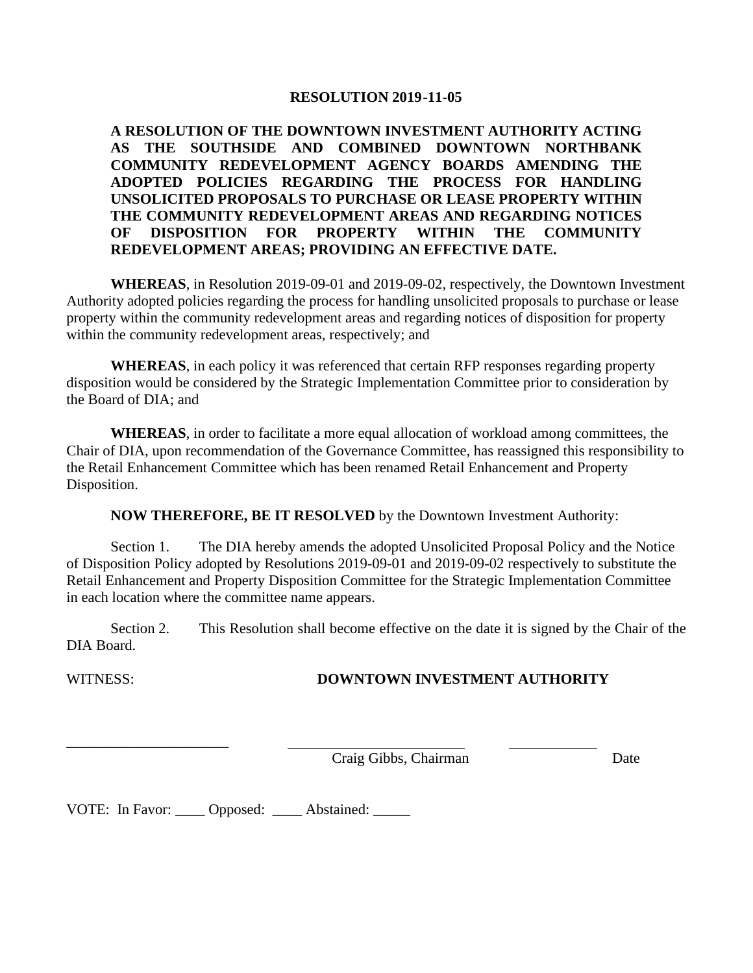#### **RESOLUTION 2019-11-05**

**A RESOLUTION OF THE DOWNTOWN INVESTMENT AUTHORITY ACTING AS THE SOUTHSIDE AND COMBINED DOWNTOWN NORTHBANK COMMUNITY REDEVELOPMENT AGENCY BOARDS AMENDING THE ADOPTED POLICIES REGARDING THE PROCESS FOR HANDLING UNSOLICITED PROPOSALS TO PURCHASE OR LEASE PROPERTY WITHIN THE COMMUNITY REDEVELOPMENT AREAS AND REGARDING NOTICES OF DISPOSITION FOR PROPERTY WITHIN THE COMMUNITY REDEVELOPMENT AREAS; PROVIDING AN EFFECTIVE DATE.**

**WHEREAS**, in Resolution 2019-09-01 and 2019-09-02, respectively, the Downtown Investment Authority adopted policies regarding the process for handling unsolicited proposals to purchase or lease property within the community redevelopment areas and regarding notices of disposition for property within the community redevelopment areas, respectively; and

**WHEREAS**, in each policy it was referenced that certain RFP responses regarding property disposition would be considered by the Strategic Implementation Committee prior to consideration by the Board of DIA; and

**WHEREAS**, in order to facilitate a more equal allocation of workload among committees, the Chair of DIA, upon recommendation of the Governance Committee, has reassigned this responsibility to the Retail Enhancement Committee which has been renamed Retail Enhancement and Property Disposition.

**NOW THEREFORE, BE IT RESOLVED** by the Downtown Investment Authority:

Section 1. The DIA hereby amends the adopted Unsolicited Proposal Policy and the Notice of Disposition Policy adopted by Resolutions 2019-09-01 and 2019-09-02 respectively to substitute the Retail Enhancement and Property Disposition Committee for the Strategic Implementation Committee in each location where the committee name appears.

Section 2. This Resolution shall become effective on the date it is signed by the Chair of the DIA Board.

\_\_\_\_\_\_\_\_\_\_\_\_\_\_\_\_\_\_\_\_\_\_

# WITNESS: **DOWNTOWN INVESTMENT AUTHORITY**

Craig Gibbs, Chairman Date

VOTE: In Favor: \_\_\_\_ Opposed: \_\_\_\_ Abstained: \_\_\_\_\_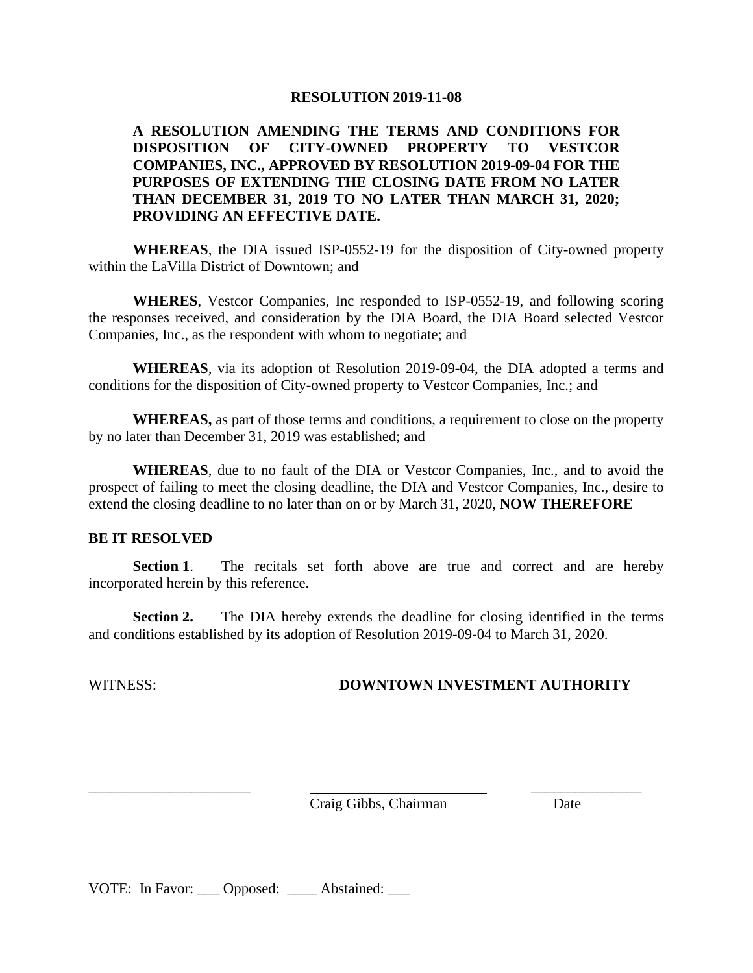#### **RESOLUTION 2019-11-08**

### **A RESOLUTION AMENDING THE TERMS AND CONDITIONS FOR DISPOSITION OF CITY-OWNED PROPERTY TO VESTCOR COMPANIES, INC., APPROVED BY RESOLUTION 2019-09-04 FOR THE PURPOSES OF EXTENDING THE CLOSING DATE FROM NO LATER THAN DECEMBER 31, 2019 TO NO LATER THAN MARCH 31, 2020; PROVIDING AN EFFECTIVE DATE.**

**WHEREAS**, the DIA issued ISP-0552-19 for the disposition of City-owned property within the LaVilla District of Downtown; and

**WHERES**, Vestcor Companies, Inc responded to ISP-0552-19, and following scoring the responses received, and consideration by the DIA Board, the DIA Board selected Vestcor Companies, Inc., as the respondent with whom to negotiate; and

**WHEREAS**, via its adoption of Resolution 2019-09-04, the DIA adopted a terms and conditions for the disposition of City-owned property to Vestcor Companies, Inc.; and

**WHEREAS,** as part of those terms and conditions, a requirement to close on the property by no later than December 31, 2019 was established; and

**WHEREAS**, due to no fault of the DIA or Vestcor Companies, Inc., and to avoid the prospect of failing to meet the closing deadline, the DIA and Vestcor Companies, Inc., desire to extend the closing deadline to no later than on or by March 31, 2020, **NOW THEREFORE** 

#### **BE IT RESOLVED**

**Section 1**. The recitals set forth above are true and correct and are hereby incorporated herein by this reference.

**Section 2.** The DIA hereby extends the deadline for closing identified in the terms and conditions established by its adoption of Resolution 2019-09-04 to March 31, 2020.

# WITNESS: **DOWNTOWN INVESTMENT AUTHORITY**

\_\_\_\_\_\_\_\_\_\_\_\_\_\_\_\_\_\_\_\_\_\_ \_\_\_\_\_\_\_\_\_\_\_\_\_\_\_ Craig Gibbs, Chairman Date

VOTE: In Favor: Opposed: \_\_\_\_\_ Abstained: \_\_\_\_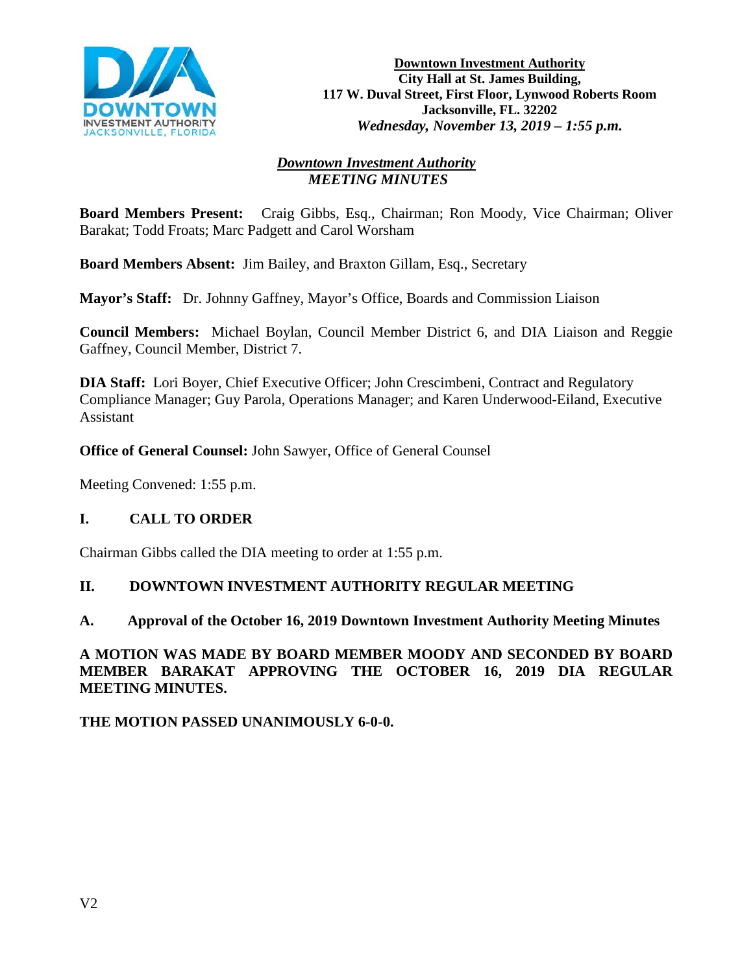

**Downtown Investment Authority City Hall at St. James Building, 117 W. Duval Street, First Floor, Lynwood Roberts Room Jacksonville, FL. 32202** *Wednesday, November 13, 2019 – 1:55 p.m.* 

### *Downtown Investment Authority MEETING MINUTES*

**Board Members Present:** Craig Gibbs, Esq., Chairman; Ron Moody, Vice Chairman; Oliver Barakat; Todd Froats; Marc Padgett and Carol Worsham

**Board Members Absent:** Jim Bailey, and Braxton Gillam, Esq., Secretary

**Mayor's Staff:** Dr. Johnny Gaffney, Mayor's Office, Boards and Commission Liaison

**Council Members:** Michael Boylan, Council Member District 6, and DIA Liaison and Reggie Gaffney, Council Member, District 7.

**DIA Staff:** Lori Boyer, Chief Executive Officer; John Crescimbeni, Contract and Regulatory Compliance Manager; Guy Parola, Operations Manager; and Karen Underwood-Eiland, Executive Assistant

**Office of General Counsel:** John Sawyer, Office of General Counsel

Meeting Convened: 1:55 p.m.

### **I. CALL TO ORDER**

Chairman Gibbs called the DIA meeting to order at 1:55 p.m.

### **II. DOWNTOWN INVESTMENT AUTHORITY REGULAR MEETING**

### **A. Approval of the October 16, 2019 Downtown Investment Authority Meeting Minutes**

**A MOTION WAS MADE BY BOARD MEMBER MOODY AND SECONDED BY BOARD MEMBER BARAKAT APPROVING THE OCTOBER 16, 2019 DIA REGULAR MEETING MINUTES.**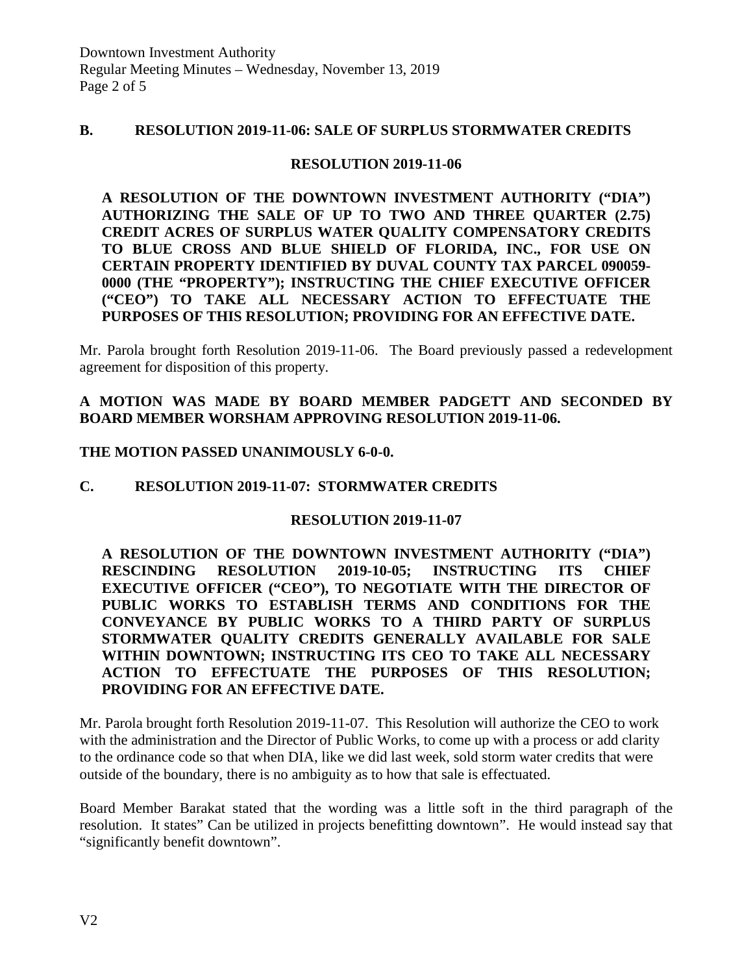### **B. RESOLUTION 2019-11-06: SALE OF SURPLUS STORMWATER CREDITS**

### **RESOLUTION 2019-11-06**

**A RESOLUTION OF THE DOWNTOWN INVESTMENT AUTHORITY ("DIA") AUTHORIZING THE SALE OF UP TO TWO AND THREE QUARTER (2.75) CREDIT ACRES OF SURPLUS WATER QUALITY COMPENSATORY CREDITS TO BLUE CROSS AND BLUE SHIELD OF FLORIDA, INC., FOR USE ON CERTAIN PROPERTY IDENTIFIED BY DUVAL COUNTY TAX PARCEL 090059- 0000 (THE "PROPERTY"); INSTRUCTING THE CHIEF EXECUTIVE OFFICER ("CEO") TO TAKE ALL NECESSARY ACTION TO EFFECTUATE THE PURPOSES OF THIS RESOLUTION; PROVIDING FOR AN EFFECTIVE DATE.**

Mr. Parola brought forth Resolution 2019-11-06. The Board previously passed a redevelopment agreement for disposition of this property.

# **A MOTION WAS MADE BY BOARD MEMBER PADGETT AND SECONDED BY BOARD MEMBER WORSHAM APPROVING RESOLUTION 2019-11-06.**

### **THE MOTION PASSED UNANIMOUSLY 6-0-0.**

### **C. RESOLUTION 2019-11-07: STORMWATER CREDITS**

### **RESOLUTION 2019-11-07**

**A RESOLUTION OF THE DOWNTOWN INVESTMENT AUTHORITY ("DIA") RESCINDING RESOLUTION 2019-10-05; INSTRUCTING ITS CHIEF EXECUTIVE OFFICER ("CEO"), TO NEGOTIATE WITH THE DIRECTOR OF PUBLIC WORKS TO ESTABLISH TERMS AND CONDITIONS FOR THE CONVEYANCE BY PUBLIC WORKS TO A THIRD PARTY OF SURPLUS STORMWATER QUALITY CREDITS GENERALLY AVAILABLE FOR SALE WITHIN DOWNTOWN; INSTRUCTING ITS CEO TO TAKE ALL NECESSARY ACTION TO EFFECTUATE THE PURPOSES OF THIS RESOLUTION; PROVIDING FOR AN EFFECTIVE DATE.**

Mr. Parola brought forth Resolution 2019-11-07. This Resolution will authorize the CEO to work with the administration and the Director of Public Works, to come up with a process or add clarity to the ordinance code so that when DIA, like we did last week, sold storm water credits that were outside of the boundary, there is no ambiguity as to how that sale is effectuated.

Board Member Barakat stated that the wording was a little soft in the third paragraph of the resolution. It states" Can be utilized in projects benefitting downtown". He would instead say that "significantly benefit downtown".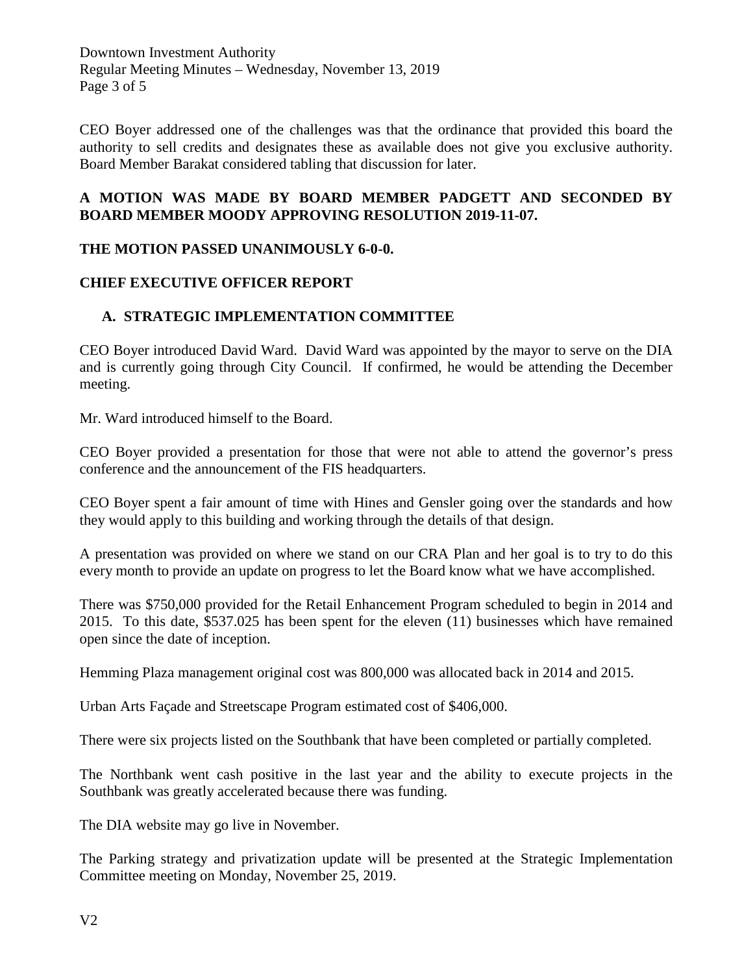Downtown Investment Authority Regular Meeting Minutes – Wednesday, November 13, 2019 Page 3 of 5

CEO Boyer addressed one of the challenges was that the ordinance that provided this board the authority to sell credits and designates these as available does not give you exclusive authority. Board Member Barakat considered tabling that discussion for later.

# **A MOTION WAS MADE BY BOARD MEMBER PADGETT AND SECONDED BY BOARD MEMBER MOODY APPROVING RESOLUTION 2019-11-07.**

# **THE MOTION PASSED UNANIMOUSLY 6-0-0.**

# **CHIEF EXECUTIVE OFFICER REPORT**

# **A. STRATEGIC IMPLEMENTATION COMMITTEE**

CEO Boyer introduced David Ward. David Ward was appointed by the mayor to serve on the DIA and is currently going through City Council. If confirmed, he would be attending the December meeting.

Mr. Ward introduced himself to the Board.

CEO Boyer provided a presentation for those that were not able to attend the governor's press conference and the announcement of the FIS headquarters.

CEO Boyer spent a fair amount of time with Hines and Gensler going over the standards and how they would apply to this building and working through the details of that design.

A presentation was provided on where we stand on our CRA Plan and her goal is to try to do this every month to provide an update on progress to let the Board know what we have accomplished.

There was \$750,000 provided for the Retail Enhancement Program scheduled to begin in 2014 and 2015. To this date, \$537.025 has been spent for the eleven (11) businesses which have remained open since the date of inception.

Hemming Plaza management original cost was 800,000 was allocated back in 2014 and 2015.

Urban Arts Façade and Streetscape Program estimated cost of \$406,000.

There were six projects listed on the Southbank that have been completed or partially completed.

The Northbank went cash positive in the last year and the ability to execute projects in the Southbank was greatly accelerated because there was funding.

The DIA website may go live in November.

The Parking strategy and privatization update will be presented at the Strategic Implementation Committee meeting on Monday, November 25, 2019.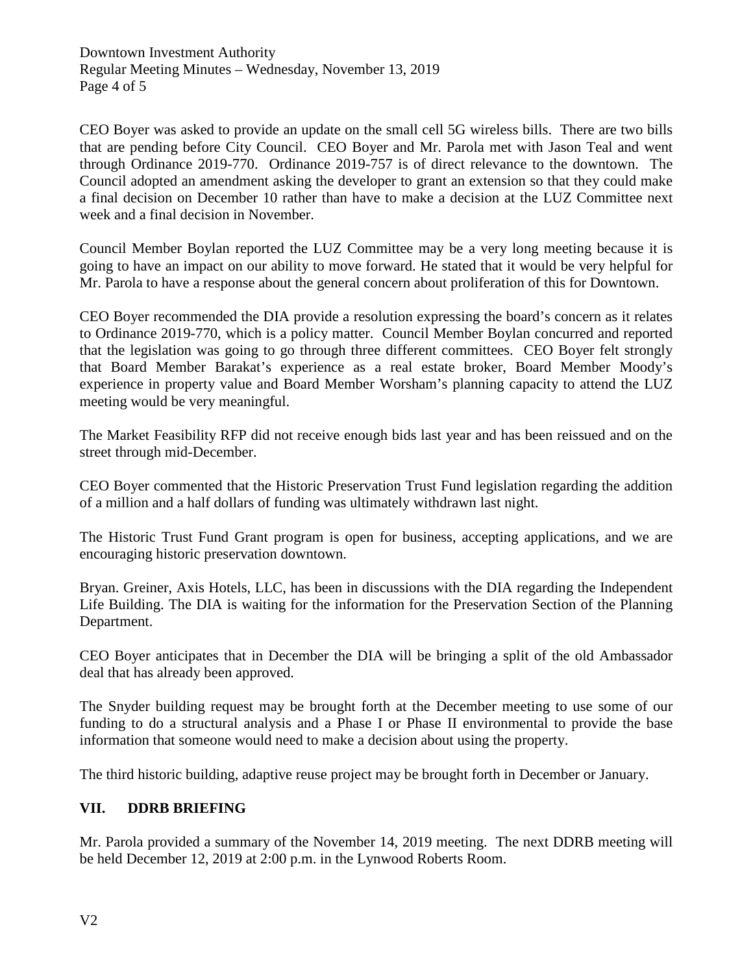Downtown Investment Authority Regular Meeting Minutes – Wednesday, November 13, 2019 Page 4 of 5

CEO Boyer was asked to provide an update on the small cell 5G wireless bills. There are two bills that are pending before City Council. CEO Boyer and Mr. Parola met with Jason Teal and went through Ordinance 2019-770. Ordinance 2019-757 is of direct relevance to the downtown. The Council adopted an amendment asking the developer to grant an extension so that they could make a final decision on December 10 rather than have to make a decision at the LUZ Committee next week and a final decision in November.

Council Member Boylan reported the LUZ Committee may be a very long meeting because it is going to have an impact on our ability to move forward. He stated that it would be very helpful for Mr. Parola to have a response about the general concern about proliferation of this for Downtown.

CEO Boyer recommended the DIA provide a resolution expressing the board's concern as it relates to Ordinance 2019-770, which is a policy matter. Council Member Boylan concurred and reported that the legislation was going to go through three different committees. CEO Boyer felt strongly that Board Member Barakat's experience as a real estate broker, Board Member Moody's experience in property value and Board Member Worsham's planning capacity to attend the LUZ meeting would be very meaningful.

The Market Feasibility RFP did not receive enough bids last year and has been reissued and on the street through mid-December.

CEO Boyer commented that the Historic Preservation Trust Fund legislation regarding the addition of a million and a half dollars of funding was ultimately withdrawn last night.

The Historic Trust Fund Grant program is open for business, accepting applications, and we are encouraging historic preservation downtown.

Bryan. Greiner, Axis Hotels, LLC, has been in discussions with the DIA regarding the Independent Life Building. The DIA is waiting for the information for the Preservation Section of the Planning Department.

CEO Boyer anticipates that in December the DIA will be bringing a split of the old Ambassador deal that has already been approved.

The Snyder building request may be brought forth at the December meeting to use some of our funding to do a structural analysis and a Phase I or Phase II environmental to provide the base information that someone would need to make a decision about using the property.

The third historic building, adaptive reuse project may be brought forth in December or January.

# **VII. DDRB BRIEFING**

Mr. Parola provided a summary of the November 14, 2019 meeting. The next DDRB meeting will be held December 12, 2019 at 2:00 p.m. in the Lynwood Roberts Room.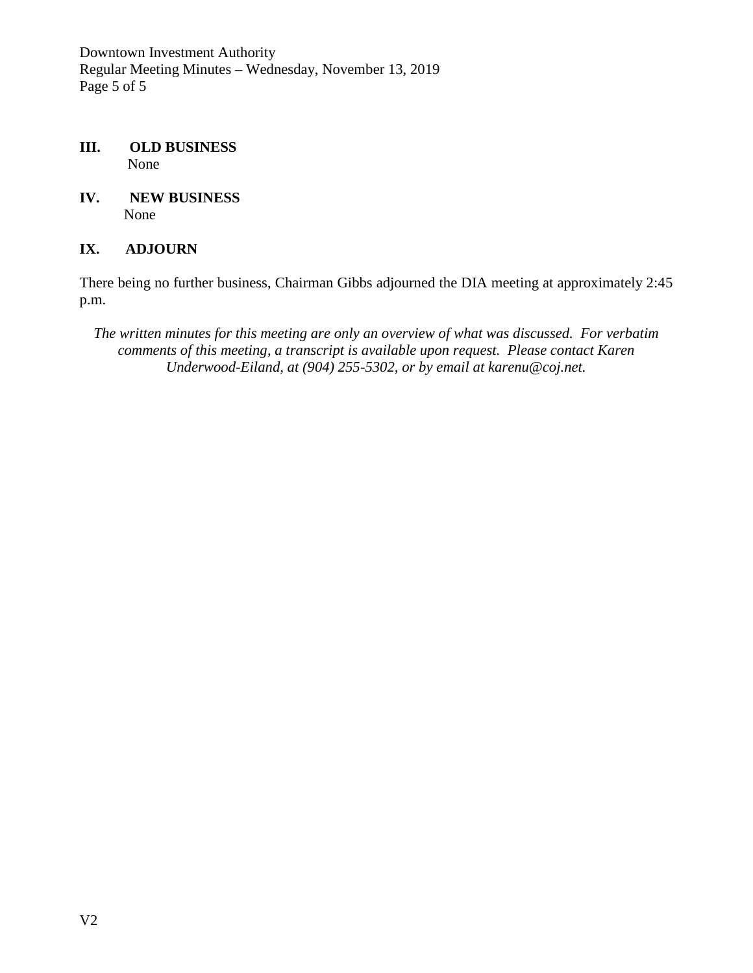Downtown Investment Authority Regular Meeting Minutes – Wednesday, November 13, 2019 Page 5 of 5

- **III. OLD BUSINESS** None
- **IV. NEW BUSINESS** None

# **IX. ADJOURN**

There being no further business, Chairman Gibbs adjourned the DIA meeting at approximately 2:45 p.m.

*The written minutes for this meeting are only an overview of what was discussed. For verbatim comments of this meeting, a transcript is available upon request. Please contact Karen Underwood-Eiland, at (904) 255-5302, or by email at karenu@coj.net.*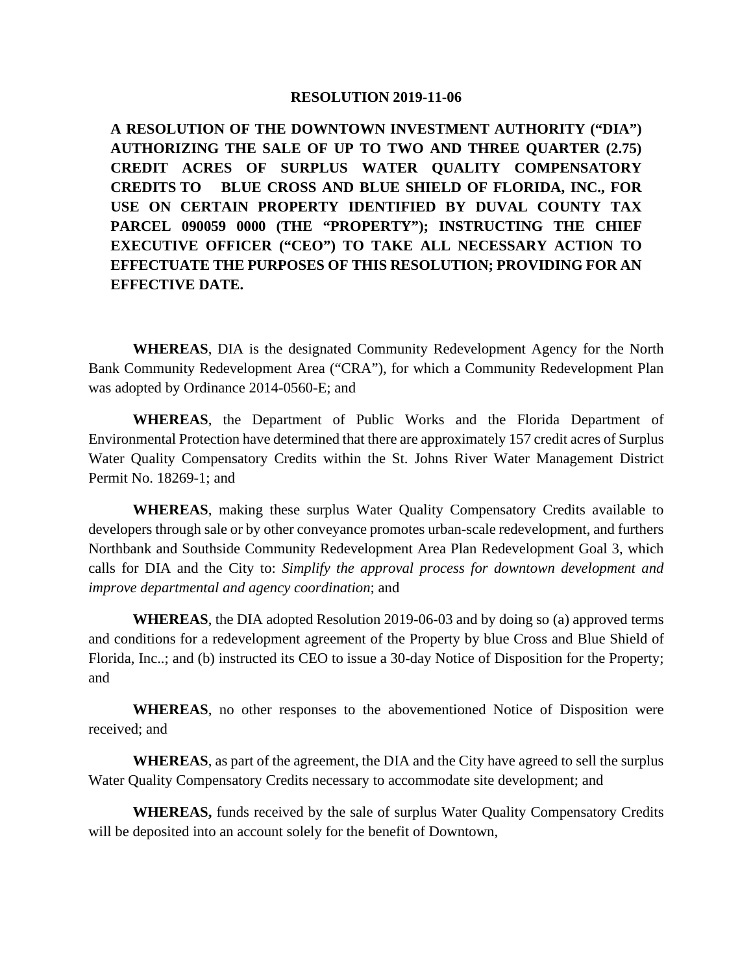#### **RESOLUTION 2019-11-06**

**A RESOLUTION OF THE DOWNTOWN INVESTMENT AUTHORITY ("DIA") AUTHORIZING THE SALE OF UP TO TWO AND THREE QUARTER (2.75) CREDIT ACRES OF SURPLUS WATER QUALITY COMPENSATORY CREDITS TO BLUE CROSS AND BLUE SHIELD OF FLORIDA, INC., FOR USE ON CERTAIN PROPERTY IDENTIFIED BY DUVAL COUNTY TAX PARCEL 090059 0000 (THE "PROPERTY"); INSTRUCTING THE CHIEF EXECUTIVE OFFICER ("CEO") TO TAKE ALL NECESSARY ACTION TO EFFECTUATE THE PURPOSES OF THIS RESOLUTION; PROVIDING FOR AN EFFECTIVE DATE.**

**WHEREAS**, DIA is the designated Community Redevelopment Agency for the North Bank Community Redevelopment Area ("CRA"), for which a Community Redevelopment Plan was adopted by Ordinance 2014-0560-E; and

**WHEREAS**, the Department of Public Works and the Florida Department of Environmental Protection have determined that there are approximately 157 credit acres of Surplus Water Quality Compensatory Credits within the St. Johns River Water Management District Permit No. 18269-1; and

**WHEREAS**, making these surplus Water Quality Compensatory Credits available to developers through sale or by other conveyance promotes urban-scale redevelopment, and furthers Northbank and Southside Community Redevelopment Area Plan Redevelopment Goal 3, which calls for DIA and the City to: *Simplify the approval process for downtown development and improve departmental and agency coordination*; and

**WHEREAS**, the DIA adopted Resolution 2019-06-03 and by doing so (a) approved terms and conditions for a redevelopment agreement of the Property by blue Cross and Blue Shield of Florida, Inc..; and (b) instructed its CEO to issue a 30-day Notice of Disposition for the Property; and

**WHEREAS**, no other responses to the abovementioned Notice of Disposition were received; and

**WHEREAS**, as part of the agreement, the DIA and the City have agreed to sell the surplus Water Quality Compensatory Credits necessary to accommodate site development; and

**WHEREAS,** funds received by the sale of surplus Water Quality Compensatory Credits will be deposited into an account solely for the benefit of Downtown,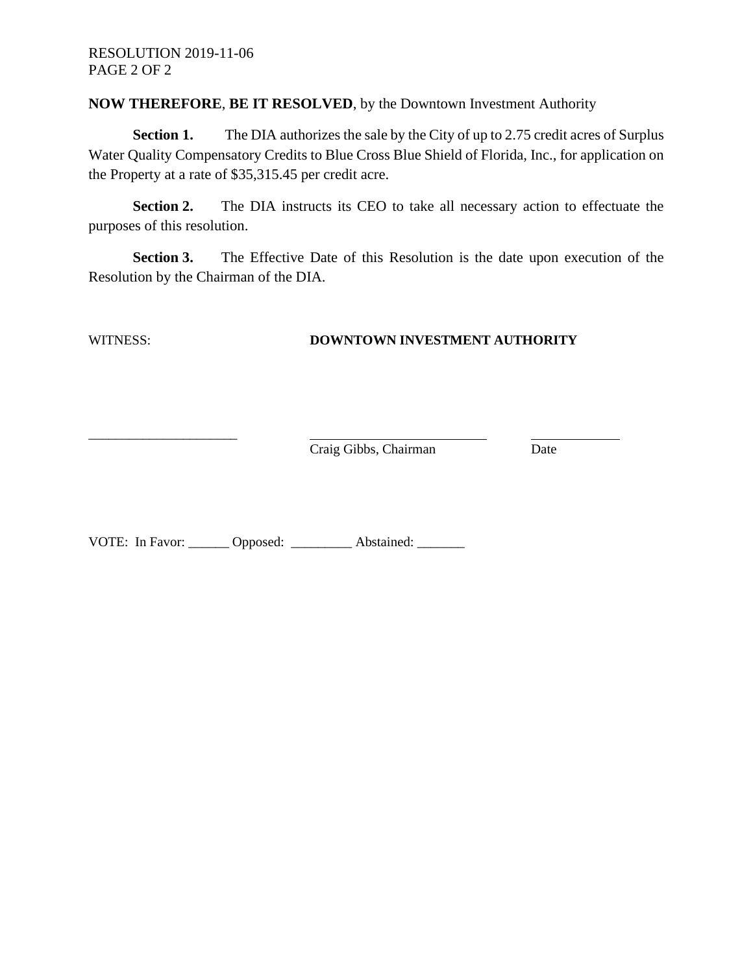#### **NOW THEREFORE**, **BE IT RESOLVED**, by the Downtown Investment Authority

**Section 1.** The DIA authorizes the sale by the City of up to 2.75 credit acres of Surplus Water Quality Compensatory Credits to Blue Cross Blue Shield of Florida, Inc., for application on the Property at a rate of \$35,315.45 per credit acre.

**Section 2.** The DIA instructs its CEO to take all necessary action to effectuate the purposes of this resolution.

**Section 3.** The Effective Date of this Resolution is the date upon execution of the Resolution by the Chairman of the DIA.

\_\_\_\_\_\_\_\_\_\_\_\_\_\_\_\_\_\_\_\_\_\_

#### WITNESS: **DOWNTOWN INVESTMENT AUTHORITY**

Craig Gibbs, Chairman Date

VOTE: In Favor: Opposed: \_\_\_\_\_\_\_\_ Abstained: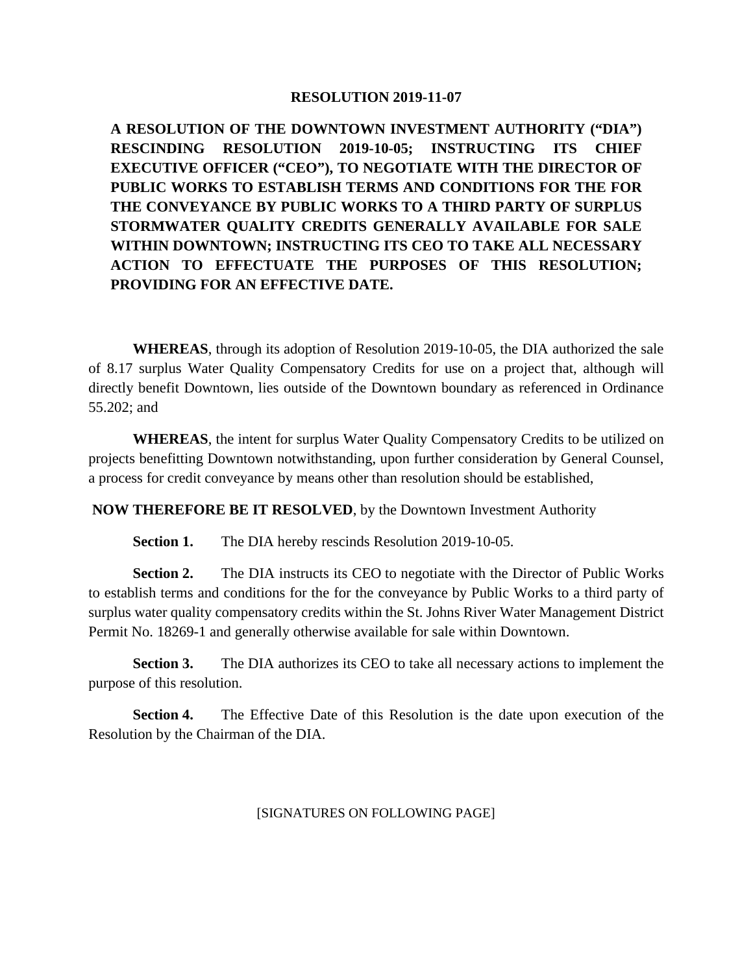#### **RESOLUTION 2019-11-07**

**A RESOLUTION OF THE DOWNTOWN INVESTMENT AUTHORITY ("DIA") RESCINDING RESOLUTION 2019-10-05; INSTRUCTING ITS CHIEF EXECUTIVE OFFICER ("CEO"), TO NEGOTIATE WITH THE DIRECTOR OF PUBLIC WORKS TO ESTABLISH TERMS AND CONDITIONS FOR THE FOR THE CONVEYANCE BY PUBLIC WORKS TO A THIRD PARTY OF SURPLUS STORMWATER QUALITY CREDITS GENERALLY AVAILABLE FOR SALE WITHIN DOWNTOWN; INSTRUCTING ITS CEO TO TAKE ALL NECESSARY ACTION TO EFFECTUATE THE PURPOSES OF THIS RESOLUTION; PROVIDING FOR AN EFFECTIVE DATE.**

**WHEREAS**, through its adoption of Resolution 2019-10-05, the DIA authorized the sale of 8.17 surplus Water Quality Compensatory Credits for use on a project that, although will directly benefit Downtown, lies outside of the Downtown boundary as referenced in Ordinance 55.202; and

**WHEREAS**, the intent for surplus Water Quality Compensatory Credits to be utilized on projects benefitting Downtown notwithstanding, upon further consideration by General Counsel, a process for credit conveyance by means other than resolution should be established,

**NOW THEREFORE BE IT RESOLVED**, by the Downtown Investment Authority

**Section 1.** The DIA hereby rescinds Resolution 2019-10-05.

**Section 2.** The DIA instructs its CEO to negotiate with the Director of Public Works to establish terms and conditions for the for the conveyance by Public Works to a third party of surplus water quality compensatory credits within the St. Johns River Water Management District Permit No. 18269-1 and generally otherwise available for sale within Downtown.

**Section 3.** The DIA authorizes its CEO to take all necessary actions to implement the purpose of this resolution.

**Section 4.** The Effective Date of this Resolution is the date upon execution of the Resolution by the Chairman of the DIA.

[SIGNATURES ON FOLLOWING PAGE]